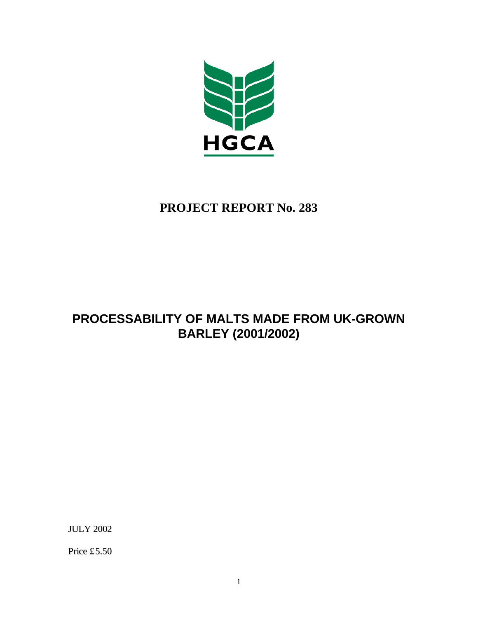

# **PROJECT REPORT No. 283**

# **PROCESSABILITY OF MALTS MADE FROM UK-GROWN BARLEY (2001/2002)**

JULY 2002

Price £5.50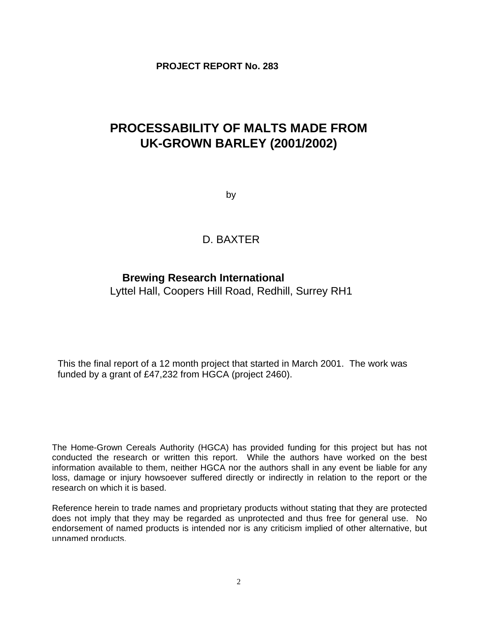**PROJECT REPORT No. 283**

# **PROCESSABILITY OF MALTS MADE FROM UK-GROWN BARLEY (2001/2002)**

by

# D. BAXTER

# **Brewing Research International**

Lyttel Hall, Coopers Hill Road, Redhill, Surrey RH1

This the final report of a 12 month project that started in March 2001. The work was funded by a grant of £47,232 from HGCA (project 2460).

The Home-Grown Cereals Authority (HGCA) has provided funding for this project but has not conducted the research or written this report. While the authors have worked on the best information available to them, neither HGCA nor the authors shall in any event be liable for any loss, damage or injury howsoever suffered directly or indirectly in relation to the report or the research on which it is based.

Reference herein to trade names and proprietary products without stating that they are protected does not imply that they may be regarded as unprotected and thus free for general use. No endorsement of named products is intended nor is any criticism implied of other alternative, but unnamed products.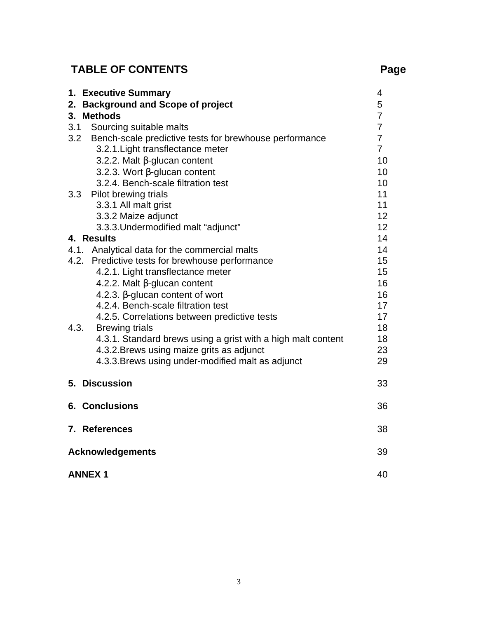# **TABLE OF CONTENTS Page**

| 1. Executive Summary                                          | 4               |
|---------------------------------------------------------------|-----------------|
| 2. Background and Scope of project                            | 5               |
| <b>Methods</b><br>3.                                          | $\overline{7}$  |
| 3.1<br>Sourcing suitable malts                                | $\overline{7}$  |
| 3.2<br>Bench-scale predictive tests for brewhouse performance | $\overline{7}$  |
| 3.2.1. Light transflectance meter                             | $\overline{7}$  |
| 3.2.2. Malt $\beta$ -glucan content                           | 10              |
| 3.2.3. Wort $\beta$ -glucan content                           | 10 <sup>1</sup> |
| 3.2.4. Bench-scale filtration test                            | 10 <sup>1</sup> |
| Pilot brewing trials<br>3.3                                   | 11              |
| 3.3.1 All malt grist                                          | 11              |
| 3.3.2 Maize adjunct                                           | 12 <sup>2</sup> |
| 3.3.3. Undermodified malt "adjunct"                           | 12 <sup>2</sup> |
| 4. Results                                                    | 14              |
| 4.1.<br>Analytical data for the commercial malts              | 14              |
| 4.2.<br>Predictive tests for brewhouse performance            | 15              |
| 4.2.1. Light transflectance meter                             | 15              |
| 4.2.2. Malt $\beta$ -glucan content                           | 16              |
| 4.2.3. $\beta$ -glucan content of wort                        | 16              |
| 4.2.4. Bench-scale filtration test                            | 17              |
| 4.2.5. Correlations between predictive tests                  | 17              |
| 4.3.<br><b>Brewing trials</b>                                 | 18              |
| 4.3.1. Standard brews using a grist with a high malt content  | 18              |
| 4.3.2. Brews using maize grits as adjunct                     | 23              |
| 4.3.3. Brews using under-modified malt as adjunct             | 29              |
| 5. Discussion                                                 | 33              |
| <b>6. Conclusions</b>                                         | 36              |
| 7. References                                                 | 38              |
| <b>Acknowledgements</b>                                       | 39              |
| <b>ANNEX1</b>                                                 | 40              |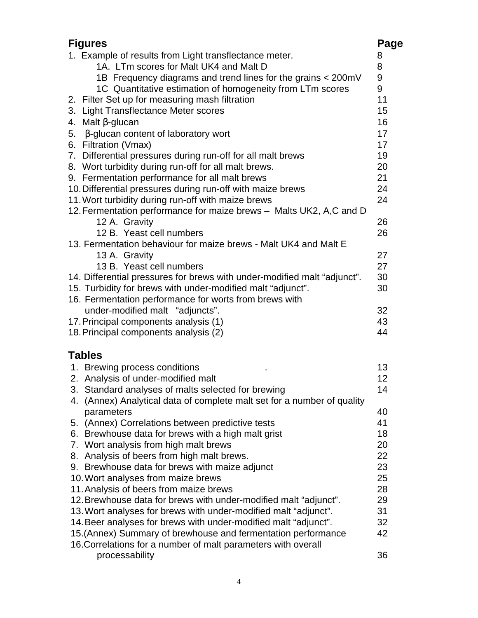| <b>Figures</b>                                                             | Page |
|----------------------------------------------------------------------------|------|
| 1. Example of results from Light transflectance meter.                     | 8    |
| 1A. LTm scores for Malt UK4 and Malt D                                     | 8    |
| 1B Frequency diagrams and trend lines for the grains < 200mV               | 9    |
| 1C Quantitative estimation of homogeneity from LTm scores                  | 9    |
| 2. Filter Set up for measuring mash filtration                             | 11   |
| 3. Light Transflectance Meter scores                                       | 15   |
| 4. Malt $\beta$ -glucan                                                    | 16   |
| 5. β-glucan content of laboratory wort                                     | 17   |
| 6. Filtration (Vmax)                                                       | 17   |
| 7. Differential pressures during run-off for all malt brews                | 19   |
| 8. Wort turbidity during run-off for all malt brews.                       | 20   |
| 9. Fermentation performance for all malt brews                             | 21   |
| 10. Differential pressures during run-off with maize brews                 | 24   |
| 11. Wort turbidity during run-off with maize brews                         | 24   |
| 12. Fermentation performance for maize brews - Malts UK2, A,C and D        |      |
| 12 A. Gravity                                                              | 26   |
| 12 B. Yeast cell numbers                                                   | 26   |
| 13. Fermentation behaviour for maize brews - Malt UK4 and Malt E           |      |
| 13 A. Gravity                                                              | 27   |
| 13 B. Yeast cell numbers                                                   | 27   |
| 14. Differential pressures for brews with under-modified malt "adjunct".   | 30   |
| 15. Turbidity for brews with under-modified malt "adjunct".                | 30   |
| 16. Fermentation performance for worts from brews with                     |      |
| under-modified malt "adjuncts".                                            | 32   |
| 17. Principal components analysis (1)                                      | 43   |
| 18. Principal components analysis (2)                                      | 44   |
| <b>Tables</b>                                                              |      |
| 1. Brewing process conditions                                              | 13   |
| 2. Analysis of under-modified malt                                         | 12   |
| 3. Standard analyses of malts selected for brewing                         | 14   |
| (Annex) Analytical data of complete malt set for a number of quality<br>4. |      |
| parameters                                                                 | 40   |
| 5. (Annex) Correlations between predictive tests                           | 41   |
| 6. Brewhouse data for brews with a high malt grist                         | 18   |
| 7. Wort analysis from high malt brews                                      | 20   |
| 8. Analysis of beers from high malt brews.                                 | 22   |
| 9. Brewhouse data for brews with maize adjunct                             | 23   |
| 10. Wort analyses from maize brews                                         | 25   |
| 11. Analysis of beers from maize brews                                     | 28   |
| 12. Brewhouse data for brews with under-modified malt "adjunct".           | 29   |
| 13. Wort analyses for brews with under-modified malt "adjunct".            | 31   |
| 14. Beer analyses for brews with under-modified malt "adjunct".            | 32   |
| 15. (Annex) Summary of brewhouse and fermentation performance              | 42   |
| 16. Correlations for a number of malt parameters with overall              |      |
| processability                                                             | 36   |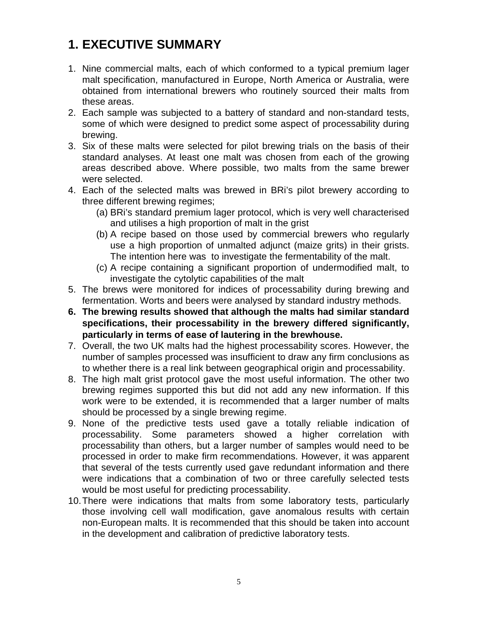# **1. EXECUTIVE SUMMARY**

- 1. Nine commercial malts, each of which conformed to a typical premium lager malt specification, manufactured in Europe, North America or Australia, were obtained from international brewers who routinely sourced their malts from these areas.
- 2. Each sample was subjected to a battery of standard and non-standard tests, some of which were designed to predict some aspect of processability during brewing.
- 3. Six of these malts were selected for pilot brewing trials on the basis of their standard analyses. At least one malt was chosen from each of the growing areas described above. Where possible, two malts from the same brewer were selected.
- 4. Each of the selected malts was brewed in BRi's pilot brewery according to three different brewing regimes;
	- (a) BRi's standard premium lager protocol, which is very well characterised and utilises a high proportion of malt in the grist
	- (b) A recipe based on those used by commercial brewers who regularly use a high proportion of unmalted adjunct (maize grits) in their grists. The intention here was to investigate the fermentability of the malt.
	- (c) A recipe containing a significant proportion of undermodified malt, to investigate the cytolytic capabilities of the malt
- 5. The brews were monitored for indices of processability during brewing and fermentation. Worts and beers were analysed by standard industry methods.
- **6. The brewing results showed that although the malts had similar standard specifications, their processability in the brewery differed significantly, particularly in terms of ease of lautering in the brewhouse.**
- 7. Overall, the two UK malts had the highest processability scores. However, the number of samples processed was insufficient to draw any firm conclusions as to whether there is a real link between geographical origin and processability.
- 8. The high malt grist protocol gave the most useful information. The other two brewing regimes supported this but did not add any new information. If this work were to be extended, it is recommended that a larger number of malts should be processed by a single brewing regime.
- 9. None of the predictive tests used gave a totally reliable indication of processability. Some parameters showed a higher correlation with processability than others, but a larger number of samples would need to be processed in order to make firm recommendations. However, it was apparent that several of the tests currently used gave redundant information and there were indications that a combination of two or three carefully selected tests would be most useful for predicting processability.
- 10.There were indications that malts from some laboratory tests, particularly those involving cell wall modification, gave anomalous results with certain non-European malts. It is recommended that this should be taken into account in the development and calibration of predictive laboratory tests.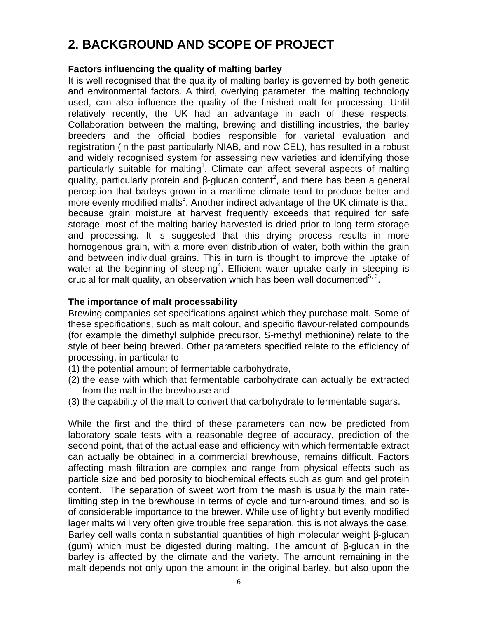# **2. BACKGROUND AND SCOPE OF PROJECT**

#### **Factors influencing the quality of malting barley**

It is well recognised that the quality of malting barley is governed by both genetic and environmental factors. A third, overlying parameter, the malting technology used, can also influence the quality of the finished malt for processing. Until relatively recently, the UK had an advantage in each of these respects. Collaboration between the malting, brewing and distilling industries, the barley breeders and the official bodies responsible for varietal evaluation and registration (in the past particularly NIAB, and now CEL), has resulted in a robust and widely recognised system for assessing new varieties and identifying those particularly suitable for malting<sup>1</sup>. Climate can affect several aspects of malting quality, particularly protein and β-glucan content<sup>2</sup>, and there has been a general perception that barleys grown in a maritime climate tend to produce better and more evenly modified malts<sup>3</sup>. Another indirect advantage of the UK climate is that, because grain moisture at harvest frequently exceeds that required for safe storage, most of the malting barley harvested is dried prior to long term storage and processing. It is suggested that this drying process results in more homogenous grain, with a more even distribution of water, both within the grain and between individual grains. This in turn is thought to improve the uptake of water at the beginning of steeping<sup>4</sup>. Efficient water uptake early in steeping is crucial for malt quality, an observation which has been well documented $5, 6$ .

#### **The importance of malt processability**

Brewing companies set specifications against which they purchase malt. Some of these specifications, such as malt colour, and specific flavour-related compounds (for example the dimethyl sulphide precursor, S-methyl methionine) relate to the style of beer being brewed. Other parameters specified relate to the efficiency of processing, in particular to

- (1) the potential amount of fermentable carbohydrate,
- (2) the ease with which that fermentable carbohydrate can actually be extracted from the malt in the brewhouse and
- (3) the capability of the malt to convert that carbohydrate to fermentable sugars.

While the first and the third of these parameters can now be predicted from laboratory scale tests with a reasonable degree of accuracy, prediction of the second point, that of the actual ease and efficiency with which fermentable extract can actually be obtained in a commercial brewhouse, remains difficult. Factors affecting mash filtration are complex and range from physical effects such as particle size and bed porosity to biochemical effects such as gum and gel protein content. The separation of sweet wort from the mash is usually the main ratelimiting step in the brewhouse in terms of cycle and turn-around times, and so is of considerable importance to the brewer. While use of lightly but evenly modified lager malts will very often give trouble free separation, this is not always the case. Barley cell walls contain substantial quantities of high molecular weight β-glucan (gum) which must be digested during malting. The amount of β-glucan in the barley is affected by the climate and the variety. The amount remaining in the malt depends not only upon the amount in the original barley, but also upon the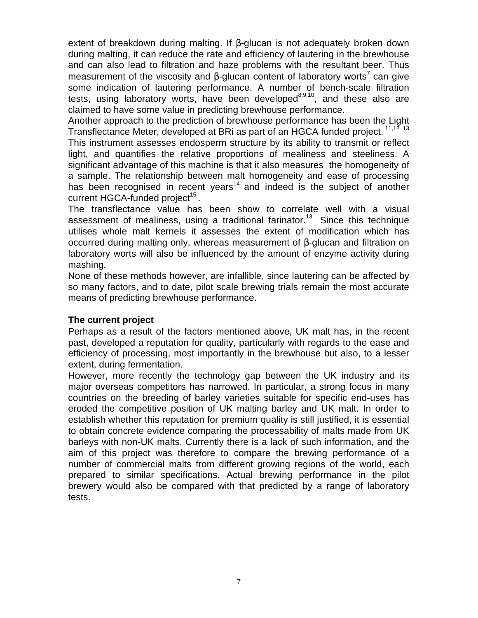extent of breakdown during malting. If β-glucan is not adequately broken down during malting, it can reduce the rate and efficiency of lautering in the brewhouse and can also lead to filtration and haze problems with the resultant beer. Thus measurement of the viscosity and β-glucan content of laboratory worts<sup>7</sup> can give some indication of lautering performance. A number of bench-scale filtration tests, using laboratory worts, have been developed $8,9,10$ , and these also are claimed to have some value in predicting brewhouse performance.

Another approach to the prediction of brewhouse performance has been the Light Transflectance Meter, developed at BRi as part of an HGCA funded project. <sup>11,12,13</sup>

This instrument assesses endosperm structure by its ability to transmit or reflect light, and quantifies the relative proportions of mealiness and steeliness. A significant advantage of this machine is that it also measures the homogeneity of a sample. The relationship between malt homogeneity and ease of processing has been recognised in recent years<sup>14</sup> and indeed is the subject of another current HGCA-funded project<sup>15</sup>.

The transflectance value has been show to correlate well with a visual assessment of mealiness, using a traditional farinator.<sup>13</sup> Since this technique utilises whole malt kernels it assesses the extent of modification which has occurred during malting only, whereas measurement of β-glucan and filtration on laboratory worts will also be influenced by the amount of enzyme activity during mashing.

None of these methods however, are infallible, since lautering can be affected by so many factors, and to date, pilot scale brewing trials remain the most accurate means of predicting brewhouse performance.

#### **The current project**

Perhaps as a result of the factors mentioned above, UK malt has, in the recent past, developed a reputation for quality, particularly with regards to the ease and efficiency of processing, most importantly in the brewhouse but also, to a lesser extent, during fermentation.

However, more recently the technology gap between the UK industry and its major overseas competitors has narrowed. In particular, a strong focus in many countries on the breeding of barley varieties suitable for specific end-uses has eroded the competitive position of UK malting barley and UK malt. In order to establish whether this reputation for premium quality is still justified, it is essential to obtain concrete evidence comparing the processability of malts made from UK barleys with non-UK malts. Currently there is a lack of such information, and the aim of this project was therefore to compare the brewing performance of a number of commercial malts from different growing regions of the world, each prepared to similar specifications. Actual brewing performance in the pilot brewery would also be compared with that predicted by a range of laboratory tests.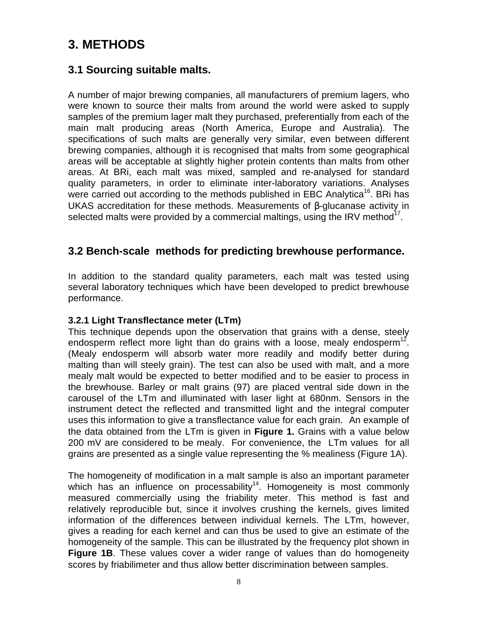# **3. METHODS**

# **3.1 Sourcing suitable malts.**

A number of major brewing companies, all manufacturers of premium lagers, who were known to source their malts from around the world were asked to supply samples of the premium lager malt they purchased, preferentially from each of the main malt producing areas (North America, Europe and Australia). The specifications of such malts are generally very similar, even between different brewing companies, although it is recognised that malts from some geographical areas will be acceptable at slightly higher protein contents than malts from other areas. At BRi, each malt was mixed, sampled and re-analysed for standard quality parameters, in order to eliminate inter-laboratory variations. Analyses were carried out according to the methods published in EBC Analytica<sup>16</sup>. BRi has UKAS accreditation for these methods. Measurements of β-glucanase activity in selected malts were provided by a commercial maltings, using the IRV method $17$ .

## **3.2 Bench-scale methods for predicting brewhouse performance.**

In addition to the standard quality parameters, each malt was tested using several laboratory techniques which have been developed to predict brewhouse performance.

#### **3.2.1 Light Transflectance meter (LTm)**

This technique depends upon the observation that grains with a dense, steely endosperm reflect more light than do grains with a loose, mealy endosperm<sup>12</sup>. (Mealy endosperm will absorb water more readily and modify better during malting than will steely grain). The test can also be used with malt, and a more mealy malt would be expected to better modified and to be easier to process in the brewhouse. Barley or malt grains (97) are placed ventral side down in the carousel of the LTm and illuminated with laser light at 680nm. Sensors in the instrument detect the reflected and transmitted light and the integral computer uses this information to give a transflectance value for each grain. An example of the data obtained from the LTm is given in **Figure 1.** Grains with a value below 200 mV are considered to be mealy. For convenience, the LTm values for all grains are presented as a single value representing the % mealiness (Figure 1A).

The homogeneity of modification in a malt sample is also an important parameter which has an influence on processability<sup>14</sup>. Homogeneity is most commonly measured commercially using the friability meter. This method is fast and relatively reproducible but, since it involves crushing the kernels, gives limited information of the differences between individual kernels. The LTm, however, gives a reading for each kernel and can thus be used to give an estimate of the homogeneity of the sample. This can be illustrated by the frequency plot shown in **Figure 1B.** These values cover a wider range of values than do homogeneity scores by friabilimeter and thus allow better discrimination between samples.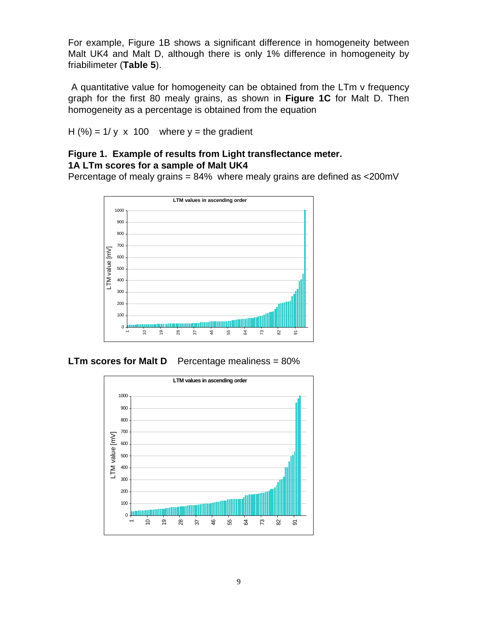For example, Figure 1B shows a significant difference in homogeneity between Malt UK4 and Malt D, although there is only 1% difference in homogeneity by friabilimeter (**Table 5**).

 A quantitative value for homogeneity can be obtained from the LTm v frequency graph for the first 80 mealy grains, as shown in **Figure 1C** for Malt D. Then homogeneity as a percentage is obtained from the equation

H  $(\%) = 1/y \times 100$  where  $y =$  the gradient

#### **Figure 1. Example of results from Light transflectance meter. 1A LTm scores for a sample of Malt UK4**

Percentage of mealy grains = 84% where mealy grains are defined as <200mV



**LTm scores for Malt D** Percentage mealiness = 80%

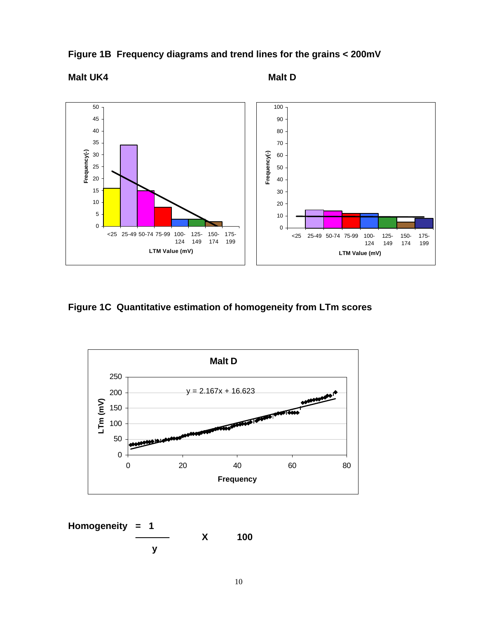

**Figure 1B Frequency diagrams and trend lines for the grains < 200mV**

# **Malt UK4** Malt D

**Figure 1C Quantitative estimation of homogeneity from LTm scores**



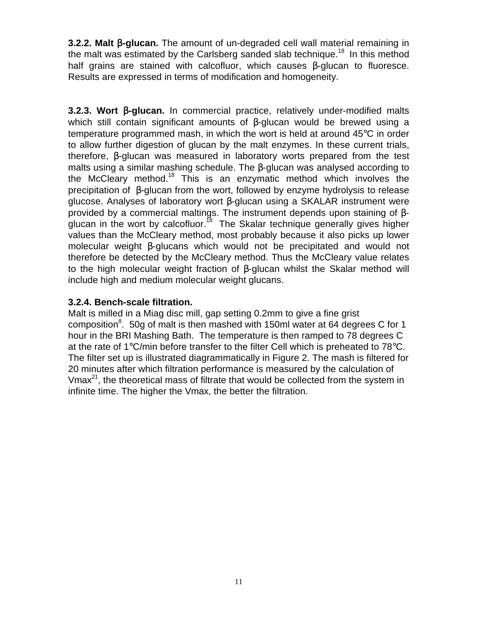**3.2.2. Malt** β**-glucan.** The amount of un-degraded cell wall material remaining in the malt was estimated by the Carlsberg sanded slab technique.<sup>18</sup> In this method half grains are stained with calcofluor, which causes β-glucan to fluoresce. Results are expressed in terms of modification and homogeneity.

**3.2.3. Wort** β**-glucan.** In commercial practice, relatively under-modified malts which still contain significant amounts of  $\beta$ -glucan would be brewed using a temperature programmed mash, in which the wort is held at around 45°C in order to allow further digestion of glucan by the malt enzymes. In these current trials, therefore, β-glucan was measured in laboratory worts prepared from the test malts using a similar mashing schedule. The β-glucan was analysed according to the McCleary method.<sup>18</sup> This is an enzymatic method which involves the precipitation of β-glucan from the wort, followed by enzyme hydrolysis to release glucose. Analyses of laboratory wort β-glucan using a SKALAR instrument were provided by a commercial maltings. The instrument depends upon staining of βglucan in the wort by calcofluor.<sup>18</sup> The Skalar technique generally gives higher values than the McCleary method, most probably because it also picks up lower molecular weight β-glucans which would not be precipitated and would not therefore be detected by the McCleary method. Thus the McCleary value relates to the high molecular weight fraction of β-glucan whilst the Skalar method will include high and medium molecular weight glucans.

#### **3.2.4. Bench-scale filtration.**

Malt is milled in a Miag disc mill, gap setting 0.2mm to give a fine grist composition<sup>8</sup>. 50g of malt is then mashed with 150ml water at 64 degrees C for 1 hour in the BRI Mashing Bath. The temperature is then ramped to 78 degrees C at the rate of  $1^{\circ}$ C/min before transfer to the filter Cell which is preheated to 78 $^{\circ}$ C. The filter set up is illustrated diagrammatically in Figure 2. The mash is filtered for 20 minutes after which filtration performance is measured by the calculation of Vmax<sup>21</sup>, the theoretical mass of filtrate that would be collected from the system in infinite time. The higher the Vmax, the better the filtration.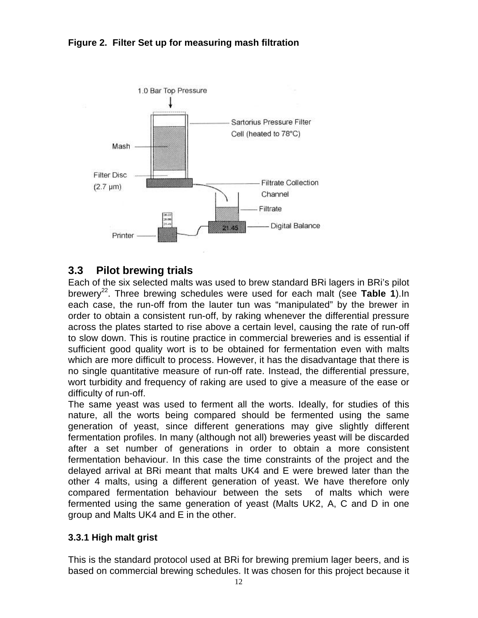



# **3.3 Pilot brewing trials**

Each of the six selected malts was used to brew standard BRi lagers in BRi's pilot brewery<sup>22</sup>. Three brewing schedules were used for each malt (see Table 1). In each case, the run-off from the lauter tun was "manipulated" by the brewer in order to obtain a consistent run-off, by raking whenever the differential pressure across the plates started to rise above a certain level, causing the rate of run-off to slow down. This is routine practice in commercial breweries and is essential if sufficient good quality wort is to be obtained for fermentation even with malts which are more difficult to process. However, it has the disadvantage that there is no single quantitative measure of run-off rate. Instead, the differential pressure, wort turbidity and frequency of raking are used to give a measure of the ease or difficulty of run-off.

The same yeast was used to ferment all the worts. Ideally, for studies of this nature, all the worts being compared should be fermented using the same generation of yeast, since different generations may give slightly different fermentation profiles. In many (although not all) breweries yeast will be discarded after a set number of generations in order to obtain a more consistent fermentation behaviour. In this case the time constraints of the project and the delayed arrival at BRi meant that malts UK4 and E were brewed later than the other 4 malts, using a different generation of yeast. We have therefore only compared fermentation behaviour between the sets of malts which were fermented using the same generation of yeast (Malts UK2, A, C and D in one group and Malts UK4 and E in the other.

#### **3.3.1 High malt grist**

This is the standard protocol used at BRi for brewing premium lager beers, and is based on commercial brewing schedules. It was chosen for this project because it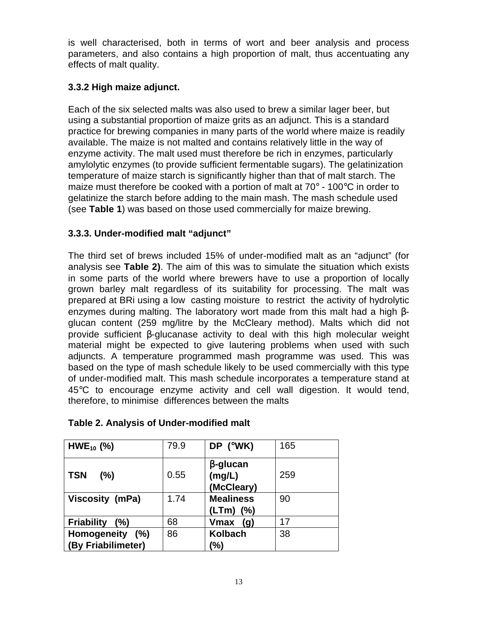is well characterised, both in terms of wort and beer analysis and process parameters, and also contains a high proportion of malt, thus accentuating any effects of malt quality.

## **3.3.2 High maize adjunct.**

Each of the six selected malts was also used to brew a similar lager beer, but using a substantial proportion of maize grits as an adjunct. This is a standard practice for brewing companies in many parts of the world where maize is readily available. The maize is not malted and contains relatively little in the way of enzyme activity. The malt used must therefore be rich in enzymes, particularly amylolytic enzymes (to provide sufficient fermentable sugars). The gelatinization temperature of maize starch is significantly higher than that of malt starch. The maize must therefore be cooked with a portion of malt at  $70^{\circ}$  - 100 $^{\circ}$ C in order to gelatinize the starch before adding to the main mash. The mash schedule used (see **Table 1**) was based on those used commercially for maize brewing.

## **3.3.3. Under-modified malt "adjunct"**

The third set of brews included 15% of under-modified malt as an "adjunct" (for analysis see **Table 2)**. The aim of this was to simulate the situation which exists in some parts of the world where brewers have to use a proportion of locally grown barley malt regardless of its suitability for processing. The malt was prepared at BRi using a low casting moisture to restrict the activity of hydrolytic enzymes during malting. The laboratory wort made from this malt had a high βglucan content (259 mg/litre by the McCleary method). Malts which did not provide sufficient β-glucanase activity to deal with this high molecular weight material might be expected to give lautering problems when used with such adjuncts. A temperature programmed mash programme was used. This was based on the type of mash schedule likely to be used commercially with this type of under-modified malt. This mash schedule incorporates a temperature stand at 45°C to encourage enzyme activity and cell wall digestion. It would tend, therefore, to minimise differences between the malts

| $HWE_{10}$ (%)           | 79.9 | DP (°WK)                                | 165 |
|--------------------------|------|-----------------------------------------|-----|
| <b>TSN</b><br>(%)        | 0.55 | $\beta$ -glucan<br>(mg/L)<br>(McCleary) | 259 |
| Viscosity (mPa)          | 1.74 | <b>Mealiness</b>                        | 90  |
|                          |      | (LTm)<br>(% )                           |     |
| <b>Friability</b><br>(%) | 68   | <b>Vmax</b><br>(g)                      | 17  |
| Homogeneity (%)          | 86   | <b>Kolbach</b>                          | 38  |
| (By Friabilimeter)       |      | (%)                                     |     |

## **Table 2. Analysis of Under-modified malt**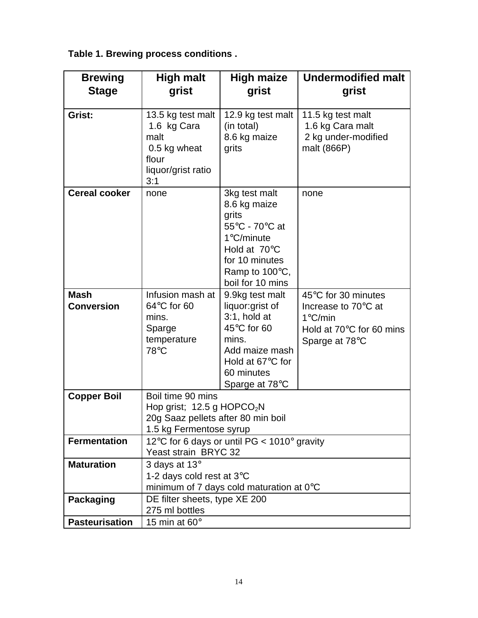**Table 1. Brewing process conditions .**

| <b>Brewing</b>                   | <b>High malt</b>                                                                                                             | <b>Undermodified malt</b><br><b>High maize</b>                                                                                                           |                                                                                                                         |  |  |  |
|----------------------------------|------------------------------------------------------------------------------------------------------------------------------|----------------------------------------------------------------------------------------------------------------------------------------------------------|-------------------------------------------------------------------------------------------------------------------------|--|--|--|
| <b>Stage</b>                     | grist                                                                                                                        | grist                                                                                                                                                    | grist                                                                                                                   |  |  |  |
|                                  |                                                                                                                              |                                                                                                                                                          |                                                                                                                         |  |  |  |
| Grist:                           | 13.5 kg test malt<br>1.6 kg Cara<br>malt<br>0.5 kg wheat<br>flour<br>liquor/grist ratio<br>3:1                               | 12.9 kg test malt<br>(in total)<br>8.6 kg maize<br>grits                                                                                                 | 11.5 kg test malt<br>1.6 kg Cara malt<br>2 kg under-modified<br>malt (866P)                                             |  |  |  |
| <b>Cereal cooker</b>             | none                                                                                                                         | 3kg test malt<br>8.6 kg maize<br>grits<br>55°C - 70°C at<br>$1^{\circ}$ C/minute<br>Hold at 70°C<br>for 10 minutes<br>Ramp to 100°C,<br>boil for 10 mins | none                                                                                                                    |  |  |  |
| <b>Mash</b><br><b>Conversion</b> | Infusion mash at<br>64°C for 60<br>mins.<br>Sparge<br>temperature<br>78°C                                                    | 9.9kg test malt<br>liquor:grist of<br>$3:1$ , hold at<br>45°C for 60<br>mins.<br>Add maize mash<br>Hold at 67°C for<br>60 minutes<br>Sparge at 78°C      | 45°C for 30 minutes<br>Increase to 70°C at<br>$1^{\circ}$ C/min<br>Hold at $70^{\circ}$ C for 60 mins<br>Sparge at 78°C |  |  |  |
| <b>Copper Boil</b>               | Boil time 90 mins<br>Hop grist; 12.5 g HOPCO <sub>2</sub> N<br>20g Saaz pellets after 80 min boil<br>1.5 kg Fermentose syrup |                                                                                                                                                          |                                                                                                                         |  |  |  |
| <b>Fermentation</b>              | Yeast strain BRYC 32                                                                                                         | 12°C for 6 days or until PG < $1010^\circ$ gravity                                                                                                       |                                                                                                                         |  |  |  |
| <b>Maturation</b>                | 3 days at $13^\circ$<br>1-2 days cold rest at 3°C                                                                            | minimum of 7 days cold maturation at $0^{\circ}$ C                                                                                                       |                                                                                                                         |  |  |  |
| <b>Packaging</b>                 | DE filter sheets, type XE 200<br>275 ml bottles                                                                              |                                                                                                                                                          |                                                                                                                         |  |  |  |
| <b>Pasteurisation</b>            | 15 min at $60^\circ$                                                                                                         |                                                                                                                                                          |                                                                                                                         |  |  |  |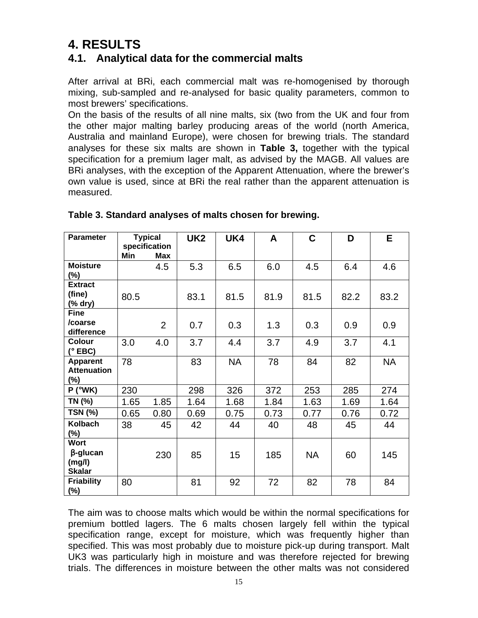# **4. RESULTS**

# **4.1. Analytical data for the commercial malts**

After arrival at BRi, each commercial malt was re-homogenised by thorough mixing, sub-sampled and re-analysed for basic quality parameters, common to most brewers' specifications.

On the basis of the results of all nine malts, six (two from the UK and four from the other major malting barley producing areas of the world (north America, Australia and mainland Europe), were chosen for brewing trials. The standard analyses for these six malts are shown in **Table 3,** together with the typical specification for a premium lager malt, as advised by the MAGB. All values are BRi analyses, with the exception of the Apparent Attenuation, where the brewer's own value is used, since at BRi the real rather than the apparent attenuation is measured.

| <b>Parameter</b>                                          | Min  | <b>Typical</b><br>specification<br>Max | UK <sub>2</sub> | UK4       | A    | C         | D    | E.        |
|-----------------------------------------------------------|------|----------------------------------------|-----------------|-----------|------|-----------|------|-----------|
| <b>Moisture</b><br>$(\%)$                                 |      | 4.5                                    | 5.3             | 6.5       | 6.0  | 4.5       | 6.4  | 4.6       |
| <b>Extract</b><br>(fine)<br>(% dry)                       | 80.5 |                                        | 83.1            | 81.5      | 81.9 | 81.5      | 82.2 | 83.2      |
| <b>Fine</b><br>/coarse<br>difference                      |      | $\overline{2}$                         | 0.7             | 0.3       | 1.3  | 0.3       | 0.9  | 0.9       |
| Colour<br>$(°$ EBC)                                       | 3.0  | 4.0                                    | 3.7             | 4.4       | 3.7  | 4.9       | 3.7  | 4.1       |
| Apparent<br><b>Attenuation</b><br>$(\%)$                  | 78   |                                        | 83              | <b>NA</b> | 78   | 84        | 82   | <b>NA</b> |
| $P(^{\circ}WK)$                                           | 230  |                                        | 298             | 326       | 372  | 253       | 285  | 274       |
| TN (%)                                                    | 1.65 | 1.85                                   | 1.64            | 1.68      | 1.84 | 1.63      | 1.69 | 1.64      |
| <b>TSN (%)</b>                                            | 0.65 | 0.80                                   | 0.69            | 0.75      | 0.73 | 0.77      | 0.76 | 0.72      |
| Kolbach<br>$(\%)$                                         | 38   | 45                                     | 42              | 44        | 40   | 48        | 45   | 44        |
| <b>Wort</b><br>$\beta$ -glucan<br>(mg/l)<br><b>Skalar</b> |      | 230                                    | 85              | 15        | 185  | <b>NA</b> | 60   | 145       |
| <b>Friability</b><br>(%)                                  | 80   |                                        | 81              | 92        | 72   | 82        | 78   | 84        |

#### **Table 3. Standard analyses of malts chosen for brewing.**

The aim was to choose malts which would be within the normal specifications for premium bottled lagers. The 6 malts chosen largely fell within the typical specification range, except for moisture, which was frequently higher than specified. This was most probably due to moisture pick-up during transport. Malt UK3 was particularly high in moisture and was therefore rejected for brewing trials. The differences in moisture between the other malts was not considered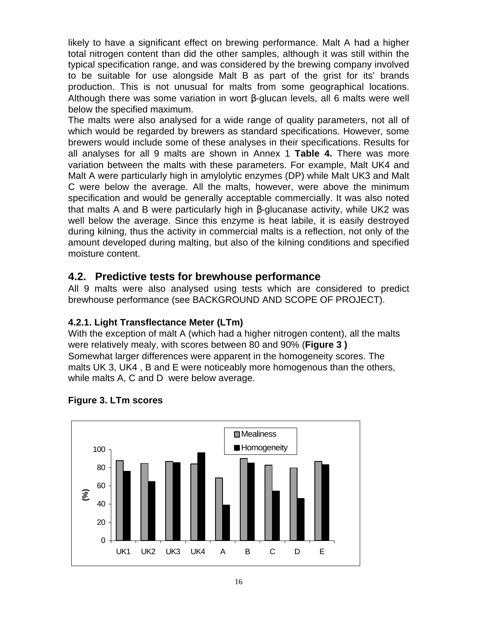likely to have a significant effect on brewing performance. Malt A had a higher total nitrogen content than did the other samples, although it was still within the typical specification range, and was considered by the brewing company involved to be suitable for use alongside Malt B as part of the grist for its' brands production. This is not unusual for malts from some geographical locations. Although there was some variation in wort β-glucan levels, all 6 malts were well below the specified maximum.

The malts were also analysed for a wide range of quality parameters, not all of which would be regarded by brewers as standard specifications. However, some brewers would include some of these analyses in their specifications. Results for all analyses for all 9 malts are shown in Annex 1 **Table 4.** There was more variation between the malts with these parameters. For example, Malt UK4 and Malt A were particularly high in amylolytic enzymes (DP) while Malt UK3 and Malt C were below the average. All the malts, however, were above the minimum specification and would be generally acceptable commercially. It was also noted that malts A and B were particularly high in β-glucanase activity, while UK2 was well below the average. Since this enzyme is heat labile, it is easily destroyed during kilning, thus the activity in commercial malts is a reflection, not only of the amount developed during malting, but also of the kilning conditions and specified moisture content.

# **4.2. Predictive tests for brewhouse performance**

All 9 malts were also analysed using tests which are considered to predict brewhouse performance (see BACKGROUND AND SCOPE OF PROJECT).

## **4.2.1. Light Transflectance Meter (LTm)**

With the exception of malt A (which had a higher nitrogen content), all the malts were relatively mealy, with scores between 80 and 90% (**Figure 3 )** Somewhat larger differences were apparent in the homogeneity scores. The malts UK 3, UK4 , B and E were noticeably more homogenous than the others, while malts A, C and D were below average.



#### **Figure 3. LTm scores**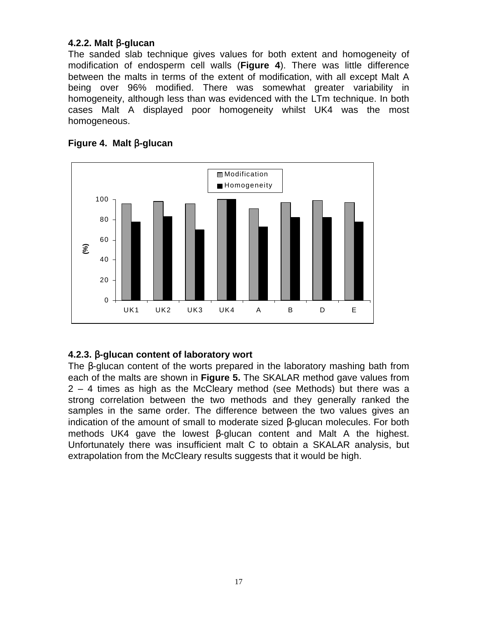#### **4.2.2. Malt** β**-glucan**

The sanded slab technique gives values for both extent and homogeneity of modification of endosperm cell walls (**Figure 4**). There was little difference between the malts in terms of the extent of modification, with all except Malt A being over 96% modified. There was somewhat greater variability in homogeneity, although less than was evidenced with the LTm technique. In both cases Malt A displayed poor homogeneity whilst UK4 was the most homogeneous.



#### **Figure 4. Malt** β**-glucan**

#### **4.2.3.** β**-glucan content of laboratory wort**

The β-glucan content of the worts prepared in the laboratory mashing bath from each of the malts are shown in **Figure 5.** The SKALAR method gave values from 2 – 4 times as high as the McCleary method (see Methods) but there was a strong correlation between the two methods and they generally ranked the samples in the same order. The difference between the two values gives an indication of the amount of small to moderate sized β-glucan molecules. For both methods UK4 gave the lowest β-glucan content and Malt A the highest. Unfortunately there was insufficient malt C to obtain a SKALAR analysis, but extrapolation from the McCleary results suggests that it would be high.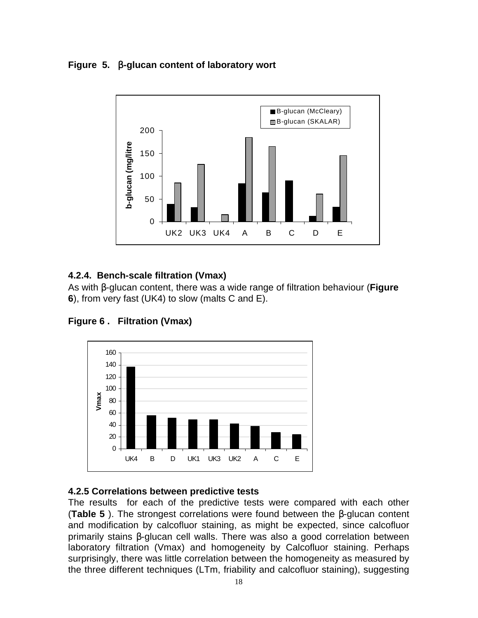### **Figure 5.** β**-glucan content of laboratory wort**



## **4.2.4. Bench-scale filtration (Vmax)**

As with β-glucan content, there was a wide range of filtration behaviour (**Figure 6**), from very fast (UK4) to slow (malts C and E).





#### **4.2.5 Correlations between predictive tests**

The results for each of the predictive tests were compared with each other (**Table 5** ). The strongest correlations were found between the β-glucan content and modification by calcofluor staining, as might be expected, since calcofluor primarily stains β-glucan cell walls. There was also a good correlation between laboratory filtration (Vmax) and homogeneity by Calcofluor staining. Perhaps surprisingly, there was little correlation between the homogeneity as measured by the three different techniques (LTm, friability and calcofluor staining), suggesting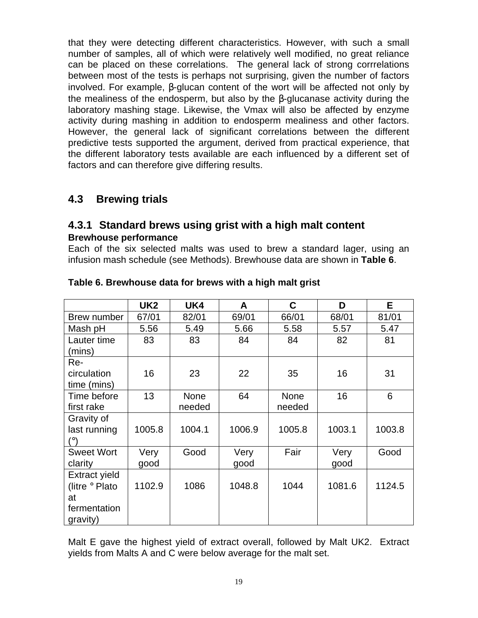that they were detecting different characteristics. However, with such a small number of samples, all of which were relatively well modified, no great reliance can be placed on these correlations. The general lack of strong corrrelations between most of the tests is perhaps not surprising, given the number of factors involved. For example, β-glucan content of the wort will be affected not only by the mealiness of the endosperm, but also by the β-glucanase activity during the laboratory mashing stage. Likewise, the Vmax will also be affected by enzyme activity during mashing in addition to endosperm mealiness and other factors. However, the general lack of significant correlations between the different predictive tests supported the argument, derived from practical experience, that the different laboratory tests available are each influenced by a different set of factors and can therefore give differing results.

# **4.3 Brewing trials**

## **4.3.1 Standard brews using grist with a high malt content Brewhouse performance**

Each of the six selected malts was used to brew a standard lager, using an infusion mash schedule (see Methods). Brewhouse data are shown in **Table 6**.

|                      | UK <sub>2</sub> | UK4         | A      | C           | D      | E.     |
|----------------------|-----------------|-------------|--------|-------------|--------|--------|
| Brew number          | 67/01           | 82/01       | 69/01  | 66/01       | 68/01  | 81/01  |
| Mash pH              | 5.56            | 5.49        | 5.66   | 5.58        | 5.57   | 5.47   |
| Lauter time          | 83              | 83          | 84     | 84          | 82     | 81     |
| (mins)               |                 |             |        |             |        |        |
| Re-                  |                 |             |        |             |        |        |
| circulation          | 16              | 23          | 22     | 35          | 16     | 31     |
| time (mins)          |                 |             |        |             |        |        |
| Time before          | 13              | <b>None</b> | 64     | <b>None</b> | 16     | 6      |
| first rake           |                 | needed      |        | needed      |        |        |
| Gravity of           |                 |             |        |             |        |        |
| last running         | 1005.8          | 1004.1      | 1006.9 | 1005.8      | 1003.1 | 1003.8 |
| (°)                  |                 |             |        |             |        |        |
| <b>Sweet Wort</b>    | Very            | Good        | Very   | Fair        | Very   | Good   |
| clarity              | good            |             | good   |             | good   |        |
| <b>Extract yield</b> |                 |             |        |             |        |        |
| (litre ° Plato       | 1102.9          | 1086        | 1048.8 | 1044        | 1081.6 | 1124.5 |
| at                   |                 |             |        |             |        |        |
| fermentation         |                 |             |        |             |        |        |
| gravity)             |                 |             |        |             |        |        |

#### **Table 6. Brewhouse data for brews with a high malt grist**

Malt E gave the highest yield of extract overall, followed by Malt UK2. Extract yields from Malts A and C were below average for the malt set.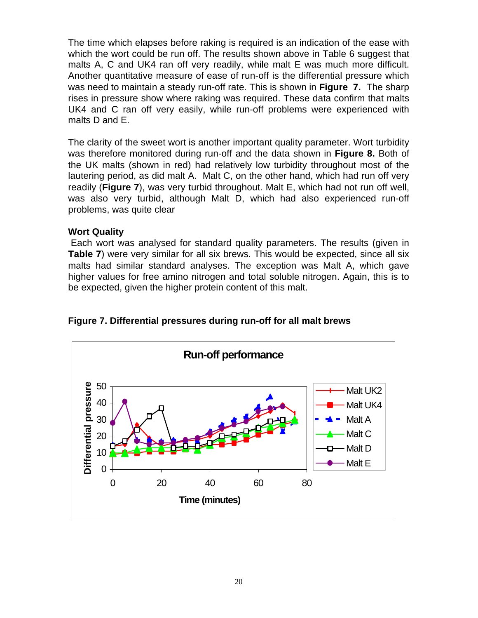The time which elapses before raking is required is an indication of the ease with which the wort could be run off. The results shown above in Table 6 suggest that malts A, C and UK4 ran off very readily, while malt E was much more difficult. Another quantitative measure of ease of run-off is the differential pressure which was need to maintain a steady run-off rate. This is shown in **Figure 7.** The sharp rises in pressure show where raking was required. These data confirm that malts UK4 and C ran off very easily, while run-off problems were experienced with malts D and E.

The clarity of the sweet wort is another important quality parameter. Wort turbidity was therefore monitored during run-off and the data shown in **Figure 8.** Both of the UK malts (shown in red) had relatively low turbidity throughout most of the lautering period, as did malt A. Malt C, on the other hand, which had run off very readily (**Figure 7**), was very turbid throughout. Malt E, which had not run off well, was also very turbid, although Malt D, which had also experienced run-off problems, was quite clear

#### **Wort Quality**

Each wort was analysed for standard quality parameters. The results (given in **Table 7**) were very similar for all six brews. This would be expected, since all six malts had similar standard analyses. The exception was Malt A, which gave higher values for free amino nitrogen and total soluble nitrogen. Again, this is to be expected, given the higher protein content of this malt.



**Figure 7. Differential pressures during run-off for all malt brews**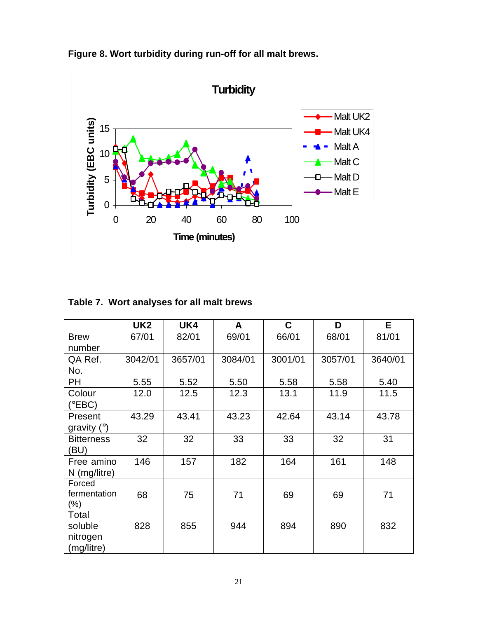

**Figure 8. Wort turbidity during run-off for all malt brews.**

|  | Table 7. Wort analyses for all malt brews |  |  |  |
|--|-------------------------------------------|--|--|--|
|--|-------------------------------------------|--|--|--|

|                   | UK <sub>2</sub> | UK4     | A       | C       | D       | E.      |
|-------------------|-----------------|---------|---------|---------|---------|---------|
| <b>Brew</b>       | 67/01           | 82/01   | 69/01   | 66/01   | 68/01   | 81/01   |
| number            |                 |         |         |         |         |         |
| QA Ref.           | 3042/01         | 3657/01 | 3084/01 | 3001/01 | 3057/01 | 3640/01 |
| No.               |                 |         |         |         |         |         |
| PH                | 5.55            | 5.52    | 5.50    | 5.58    | 5.58    | 5.40    |
| Colour            | 12.0            | 12.5    | 12.3    | 13.1    | 11.9    | 11.5    |
| (°EBC)            |                 |         |         |         |         |         |
| Present           | 43.29           | 43.41   | 43.23   | 42.64   | 43.14   | 43.78   |
| gravity $(°)$     |                 |         |         |         |         |         |
| <b>Bitterness</b> | 32              | 32      | 33      | 33      | 32      | 31      |
| (BU)              |                 |         |         |         |         |         |
| Free amino        | 146             | 157     | 182     | 164     | 161     | 148     |
| $N$ (mg/litre)    |                 |         |         |         |         |         |
| Forced            |                 |         |         |         |         |         |
| fermentation      | 68              | 75      | 71      | 69      | 69      | 71      |
| $(\%)$            |                 |         |         |         |         |         |
| Total             |                 |         |         |         |         |         |
| soluble           | 828             | 855     | 944     | 894     | 890     | 832     |
| nitrogen          |                 |         |         |         |         |         |
| (mg/litre)        |                 |         |         |         |         |         |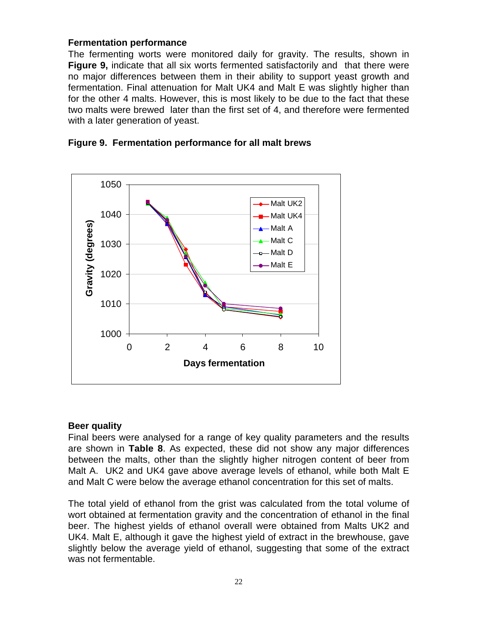#### **Fermentation performance**

The fermenting worts were monitored daily for gravity. The results, shown in **Figure 9,** indicate that all six worts fermented satisfactorily and that there were no major differences between them in their ability to support yeast growth and fermentation. Final attenuation for Malt UK4 and Malt E was slightly higher than for the other 4 malts. However, this is most likely to be due to the fact that these two malts were brewed later than the first set of 4, and therefore were fermented with a later generation of yeast.



#### **Figure 9. Fermentation performance for all malt brews**

#### **Beer quality**

Final beers were analysed for a range of key quality parameters and the results are shown in **Table 8**. As expected, these did not show any major differences between the malts, other than the slightly higher nitrogen content of beer from Malt A. UK2 and UK4 gave above average levels of ethanol, while both Malt E and Malt C were below the average ethanol concentration for this set of malts.

The total yield of ethanol from the grist was calculated from the total volume of wort obtained at fermentation gravity and the concentration of ethanol in the final beer. The highest yields of ethanol overall were obtained from Malts UK2 and UK4. Malt E, although it gave the highest yield of extract in the brewhouse, gave slightly below the average yield of ethanol, suggesting that some of the extract was not fermentable.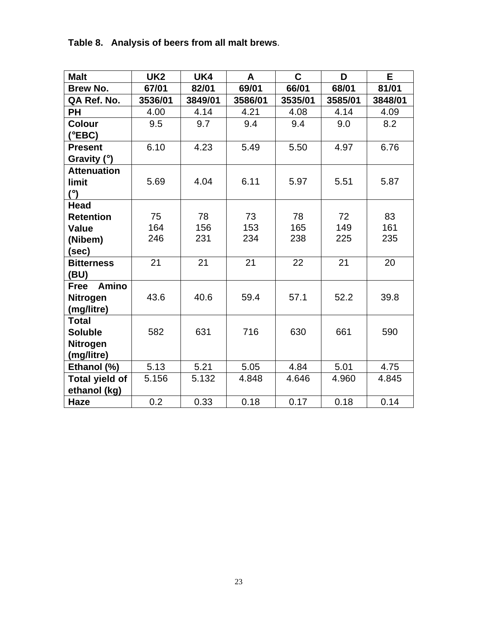| <b>Malt</b>                 | UK <sub>2</sub> | UK4     | A       | $\mathbf C$ | D       | E       |
|-----------------------------|-----------------|---------|---------|-------------|---------|---------|
| <b>Brew No.</b>             | 67/01           | 82/01   | 69/01   | 66/01       | 68/01   | 81/01   |
| QA Ref. No.                 | 3536/01         | 3849/01 | 3586/01 | 3535/01     | 3585/01 | 3848/01 |
| PН                          | 4.00            | 4.14    | 4.21    | 4.08        | 4.14    | 4.09    |
| <b>Colour</b>               | 9.5             | 9.7     | 9.4     | 9.4         | 9.0     | 8.2     |
| (°EBC)                      |                 |         |         |             |         |         |
| <b>Present</b>              | 6.10            | 4.23    | 5.49    | 5.50        | 4.97    | 6.76    |
| Gravity $(°)$               |                 |         |         |             |         |         |
| <b>Attenuation</b>          |                 |         |         |             |         |         |
| limit                       | 5.69            | 4.04    | 6.11    | 5.97        | 5.51    | 5.87    |
| $(^\circ)$                  |                 |         |         |             |         |         |
| <b>Head</b>                 |                 |         |         |             |         |         |
| <b>Retention</b>            | 75              | 78      | 73      | 78          | 72      | 83      |
| <b>Value</b>                | 164             | 156     | 153     | 165         | 149     | 161     |
| (Nibem)                     | 246             | 231     | 234     | 238         | 225     | 235     |
| (sec)                       |                 |         |         |             |         |         |
| <b>Bitterness</b>           | 21              | 21      | 21      | 22          | 21      | 20      |
| (BU)                        |                 |         |         |             |         |         |
| <b>Amino</b><br><b>Free</b> |                 |         |         |             |         |         |
| <b>Nitrogen</b>             | 43.6            | 40.6    | 59.4    | 57.1        | 52.2    | 39.8    |
| (mg/litre)                  |                 |         |         |             |         |         |
| <b>Total</b>                |                 |         |         |             |         |         |
| <b>Soluble</b>              | 582             | 631     | 716     | 630         | 661     | 590     |
| <b>Nitrogen</b>             |                 |         |         |             |         |         |
| (mg/litre)                  |                 |         |         |             |         |         |
| Ethanol (%)                 | 5.13            | 5.21    | 5.05    | 4.84        | 5.01    | 4.75    |
| <b>Total yield of</b>       | 5.156           | 5.132   | 4.848   | 4.646       | 4.960   | 4.845   |
| ethanol (kg)                |                 |         |         |             |         |         |
| <b>Haze</b>                 | 0.2             | 0.33    | 0.18    | 0.17        | 0.18    | 0.14    |

**Table 8. Analysis of beers from all malt brews**.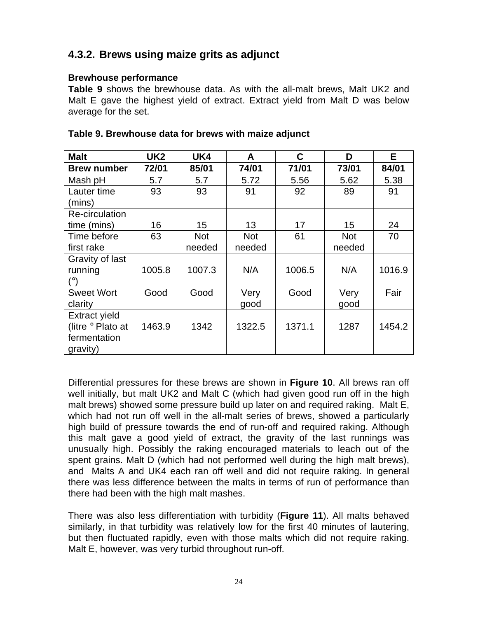# **4.3.2. Brews using maize grits as adjunct**

#### **Brewhouse performance**

**Table 9** shows the brewhouse data. As with the all-malt brews, Malt UK2 and Malt E gave the highest yield of extract. Extract yield from Malt D was below average for the set.

| <b>Malt</b>          | UK <sub>2</sub> | UK4        | A          | C      | D          | E.     |
|----------------------|-----------------|------------|------------|--------|------------|--------|
| <b>Brew number</b>   | 72/01           | 85/01      | 74/01      | 71/01  | 73/01      | 84/01  |
| Mash pH              | 5.7             | 5.7        | 5.72       | 5.56   | 5.62       | 5.38   |
| Lauter time          | 93              | 93         | 91         | 92     | 89         | 91     |
| (mins)               |                 |            |            |        |            |        |
| Re-circulation       |                 |            |            |        |            |        |
| time (mins)          | 16              | 15         | 13         | 17     | 15         | 24     |
| Time before          | 63              | <b>Not</b> | <b>Not</b> | 61     | <b>Not</b> | 70     |
| first rake           |                 | needed     | needed     |        | needed     |        |
| Gravity of last      |                 |            |            |        |            |        |
| running              | 1005.8          | 1007.3     | N/A        | 1006.5 | N/A        | 1016.9 |
| (٥١                  |                 |            |            |        |            |        |
| <b>Sweet Wort</b>    | Good            | Good       | Very       | Good   | Very       | Fair   |
| clarity              |                 |            | good       |        | good       |        |
| <b>Extract yield</b> |                 |            |            |        |            |        |
| (litre ° Plato at    | 1463.9          | 1342       | 1322.5     | 1371.1 | 1287       | 1454.2 |
| fermentation         |                 |            |            |        |            |        |
| gravity)             |                 |            |            |        |            |        |

#### **Table 9. Brewhouse data for brews with maize adjunct**

Differential pressures for these brews are shown in **Figure 10**. All brews ran off well initially, but malt UK2 and Malt C (which had given good run off in the high malt brews) showed some pressure build up later on and required raking. Malt E, which had not run off well in the all-malt series of brews, showed a particularly high build of pressure towards the end of run-off and required raking. Although this malt gave a good yield of extract, the gravity of the last runnings was unusually high. Possibly the raking encouraged materials to leach out of the spent grains. Malt D (which had not performed well during the high malt brews), and Malts A and UK4 each ran off well and did not require raking. In general there was less difference between the malts in terms of run of performance than there had been with the high malt mashes.

There was also less differentiation with turbidity (**Figure 11**). All malts behaved similarly, in that turbidity was relatively low for the first 40 minutes of lautering, but then fluctuated rapidly, even with those malts which did not require raking. Malt E, however, was very turbid throughout run-off.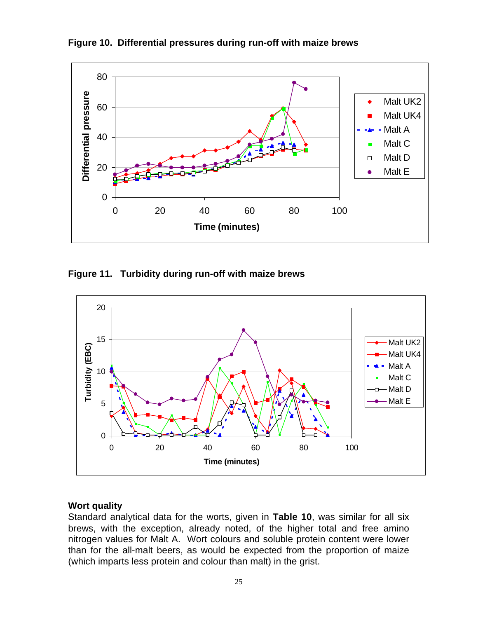

**Figure 10. Differential pressures during run-off with maize brews**

**Figure 11. Turbidity during run-off with maize brews**



#### **Wort quality**

Standard analytical data for the worts, given in **Table 10**, was similar for all six brews, with the exception, already noted, of the higher total and free amino nitrogen values for Malt A. Wort colours and soluble protein content were lower than for the all-malt beers, as would be expected from the proportion of maize (which imparts less protein and colour than malt) in the grist.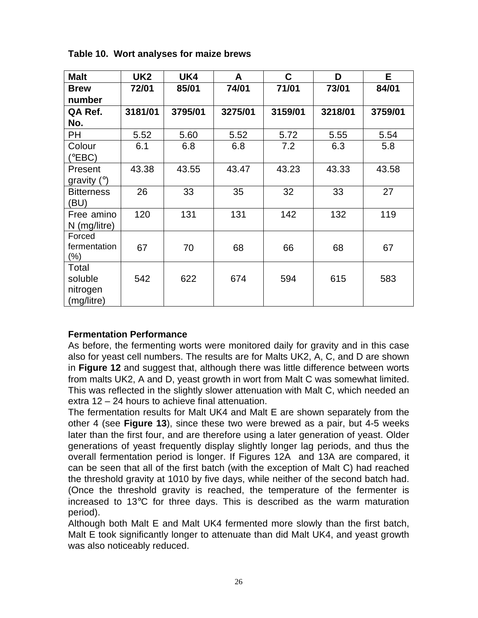| <b>Malt</b>       | UK <sub>2</sub> | UK4     | A       | $\mathbf c$ | D       | E.      |
|-------------------|-----------------|---------|---------|-------------|---------|---------|
| <b>Brew</b>       | 72/01           | 85/01   | 74/01   | 71/01       | 73/01   | 84/01   |
| number            |                 |         |         |             |         |         |
| QA Ref.           | 3181/01         | 3795/01 | 3275/01 | 3159/01     | 3218/01 | 3759/01 |
| No.               |                 |         |         |             |         |         |
| PН                | 5.52            | 5.60    | 5.52    | 5.72        | 5.55    | 5.54    |
| Colour            | 6.1             | 6.8     | 6.8     | 7.2         | 6.3     | 5.8     |
| (°EBC)            |                 |         |         |             |         |         |
| Present           | 43.38           | 43.55   | 43.47   | 43.23       | 43.33   | 43.58   |
| gravity $(°)$     |                 |         |         |             |         |         |
| <b>Bitterness</b> | 26              | 33      | 35      | 32          | 33      | 27      |
| (BU)              |                 |         |         |             |         |         |
| Free amino        | 120             | 131     | 131     | 142         | 132     | 119     |
| N (mg/litre)      |                 |         |         |             |         |         |
| Forced            |                 |         |         |             |         |         |
| fermentation      | 67              | 70      | 68      | 66          | 68      | 67      |
| (%)               |                 |         |         |             |         |         |
| Total             |                 |         |         |             |         |         |
| soluble           | 542             | 622     | 674     | 594         | 615     | 583     |
| nitrogen          |                 |         |         |             |         |         |
| (mg/litre)        |                 |         |         |             |         |         |

**Table 10. Wort analyses for maize brews**

#### **Fermentation Performance**

As before, the fermenting worts were monitored daily for gravity and in this case also for yeast cell numbers. The results are for Malts UK2, A, C, and D are shown in **Figure 12** and suggest that, although there was little difference between worts from malts UK2, A and D, yeast growth in wort from Malt C was somewhat limited. This was reflected in the slightly slower attenuation with Malt C, which needed an extra 12 – 24 hours to achieve final attenuation.

The fermentation results for Malt UK4 and Malt E are shown separately from the other 4 (see **Figure 13**), since these two were brewed as a pair, but 4-5 weeks later than the first four, and are therefore using a later generation of yeast. Older generations of yeast frequently display slightly longer lag periods, and thus the overall fermentation period is longer. If Figures 12A and 13A are compared, it can be seen that all of the first batch (with the exception of Malt C) had reached the threshold gravity at 1010 by five days, while neither of the second batch had. (Once the threshold gravity is reached, the temperature of the fermenter is increased to 13°C for three days. This is described as the warm maturation period).

Although both Malt E and Malt UK4 fermented more slowly than the first batch, Malt E took significantly longer to attenuate than did Malt UK4, and yeast growth was also noticeably reduced.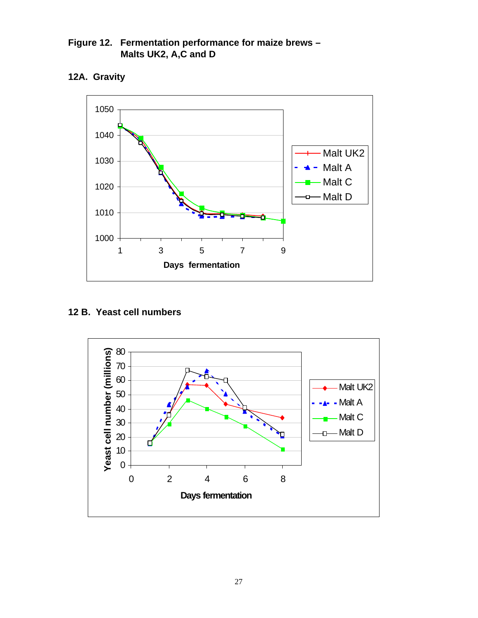**Figure 12. Fermentation performance for maize brews – Malts UK2, A,C and D**

**12A. Gravity**



#### **12 B. Yeast cell numbers**

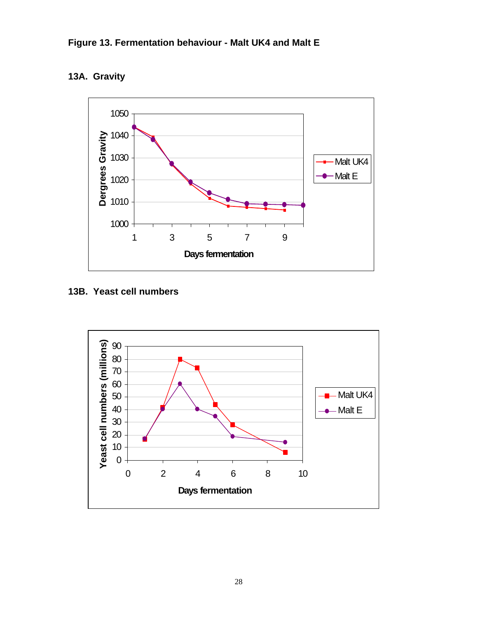

# **13A. Gravity**



**13B. Yeast cell numbers**

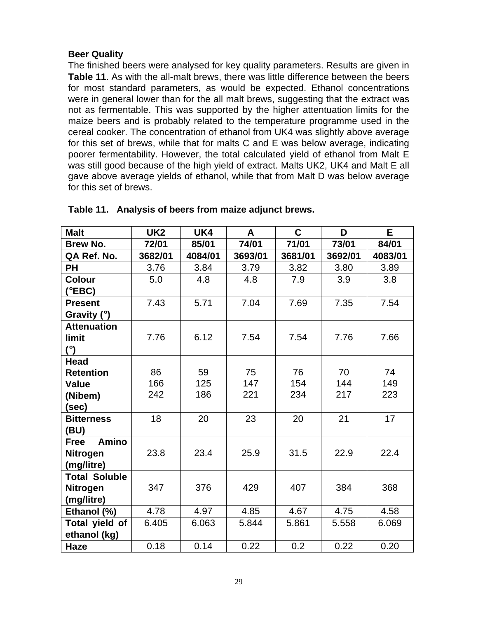#### **Beer Quality**

The finished beers were analysed for key quality parameters. Results are given in **Table 11**. As with the all-malt brews, there was little difference between the beers for most standard parameters, as would be expected. Ethanol concentrations were in general lower than for the all malt brews, suggesting that the extract was not as fermentable. This was supported by the higher attentuation limits for the maize beers and is probably related to the temperature programme used in the cereal cooker. The concentration of ethanol from UK4 was slightly above average for this set of brews, while that for malts C and E was below average, indicating poorer fermentability. However, the total calculated yield of ethanol from Malt E was still good because of the high yield of extract. Malts UK2, UK4 and Malt E all gave above average yields of ethanol, while that from Malt D was below average for this set of brews.

| <b>Malt</b>                 | UK <sub>2</sub> | UK4     | A       | $\mathbf C$ | D       | E       |
|-----------------------------|-----------------|---------|---------|-------------|---------|---------|
| <b>Brew No.</b>             | 72/01           | 85/01   | 74/01   | 71/01       | 73/01   | 84/01   |
| QA Ref. No.                 | 3682/01         | 4084/01 | 3693/01 | 3681/01     | 3692/01 | 4083/01 |
| <b>PH</b>                   | 3.76            | 3.84    | 3.79    | 3.82        | 3.80    | 3.89    |
| <b>Colour</b>               | 5.0             | 4.8     | 4.8     | 7.9         | 3.9     | 3.8     |
| (°EBC)                      |                 |         |         |             |         |         |
| <b>Present</b>              | 7.43            | 5.71    | 7.04    | 7.69        | 7.35    | 7.54    |
| Gravity $(°)$               |                 |         |         |             |         |         |
| <b>Attenuation</b>          |                 |         |         |             |         |         |
| limit                       | 7.76            | 6.12    | 7.54    | 7.54        | 7.76    | 7.66    |
| $(^\circ)$                  |                 |         |         |             |         |         |
| <b>Head</b>                 |                 |         |         |             |         |         |
| <b>Retention</b>            | 86              | 59      | 75      | 76          | 70      | 74      |
| <b>Value</b>                | 166             | 125     | 147     | 154         | 144     | 149     |
| (Nibem)                     | 242             | 186     | 221     | 234         | 217     | 223     |
| (sec)                       |                 |         |         |             |         |         |
| <b>Bitterness</b>           | 18              | 20      | 23      | 20          | 21      | 17      |
| (BU)                        |                 |         |         |             |         |         |
| <b>Amino</b><br><b>Free</b> |                 |         |         |             |         |         |
| Nitrogen                    | 23.8            | 23.4    | 25.9    | 31.5        | 22.9    | 22.4    |
| (mg/litre)                  |                 |         |         |             |         |         |
| <b>Total Soluble</b>        |                 |         |         |             |         |         |
| Nitrogen                    | 347             | 376     | 429     | 407         | 384     | 368     |
| (mg/litre)                  |                 |         |         |             |         |         |
| Ethanol (%)                 | 4.78            | 4.97    | 4.85    | 4.67        | 4.75    | 4.58    |
| Total yield of              | 6.405           | 6.063   | 5.844   | 5.861       | 5.558   | 6.069   |
| ethanol (kg)                |                 |         |         |             |         |         |
| Haze                        | 0.18            | 0.14    | 0.22    | 0.2         | 0.22    | 0.20    |

#### **Table 11. Analysis of beers from maize adjunct brews.**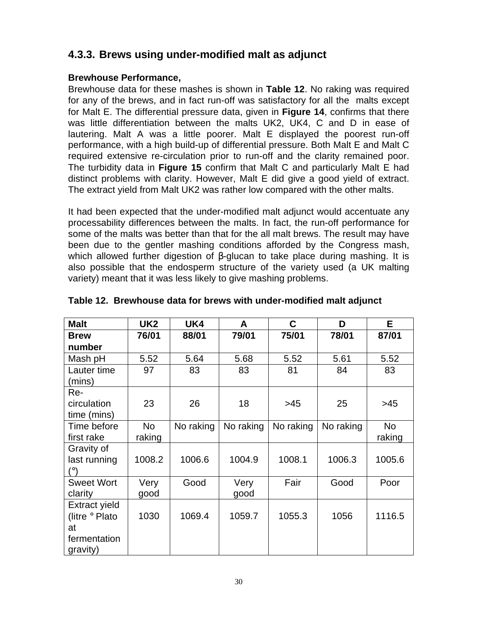# **4.3.3. Brews using under-modified malt as adjunct**

#### **Brewhouse Performance,**

Brewhouse data for these mashes is shown in **Table 12**. No raking was required for any of the brews, and in fact run-off was satisfactory for all the malts except for Malt E. The differential pressure data, given in **Figure 14**, confirms that there was little differentiation between the malts UK2, UK4, C and D in ease of lautering. Malt A was a little poorer. Malt E displayed the poorest run-off performance, with a high build-up of differential pressure. Both Malt E and Malt C required extensive re-circulation prior to run-off and the clarity remained poor. The turbidity data in **Figure 15** confirm that Malt C and particularly Malt E had distinct problems with clarity. However, Malt E did give a good yield of extract. The extract yield from Malt UK2 was rather low compared with the other malts.

It had been expected that the under-modified malt adjunct would accentuate any processability differences between the malts. In fact, the run-off performance for some of the malts was better than that for the all malt brews. The result may have been due to the gentler mashing conditions afforded by the Congress mash, which allowed further digestion of β-glucan to take place during mashing. It is also possible that the endosperm structure of the variety used (a UK malting variety) meant that it was less likely to give mashing problems.

| <b>Malt</b>           | UK <sub>2</sub> | UK4       | A         | C         | D         | E.        |
|-----------------------|-----------------|-----------|-----------|-----------|-----------|-----------|
| <b>Brew</b>           | 76/01           | 88/01     | 79/01     | 75/01     | 78/01     | 87/01     |
| number                |                 |           |           |           |           |           |
| Mash pH               | 5.52            | 5.64      | 5.68      | 5.52      | 5.61      | 5.52      |
| Lauter time<br>(mins) | 97              | 83        | 83        | 81        | 84        | 83        |
| Re-                   |                 |           |           |           |           |           |
| circulation           | 23              | 26        | 18        | >45       | 25        | >45       |
| time (mins)           |                 |           |           |           |           |           |
| Time before           | No              | No raking | No raking | No raking | No raking | <b>No</b> |
| first rake            | raking          |           |           |           |           | raking    |
| Gravity of            |                 |           |           |           |           |           |
| last running          | 1008.2          | 1006.6    | 1004.9    | 1008.1    | 1006.3    | 1005.6    |
| (°)                   |                 |           |           |           |           |           |
| <b>Sweet Wort</b>     | Very            | Good      | Very      | Fair      | Good      | Poor      |
| clarity               | good            |           | good      |           |           |           |
| <b>Extract yield</b>  |                 |           |           |           |           |           |
| (litre ° Plato        | 1030            | 1069.4    | 1059.7    | 1055.3    | 1056      | 1116.5    |
| at                    |                 |           |           |           |           |           |
| fermentation          |                 |           |           |           |           |           |
| gravity)              |                 |           |           |           |           |           |

#### **Table 12. Brewhouse data for brews with under-modified malt adjunct**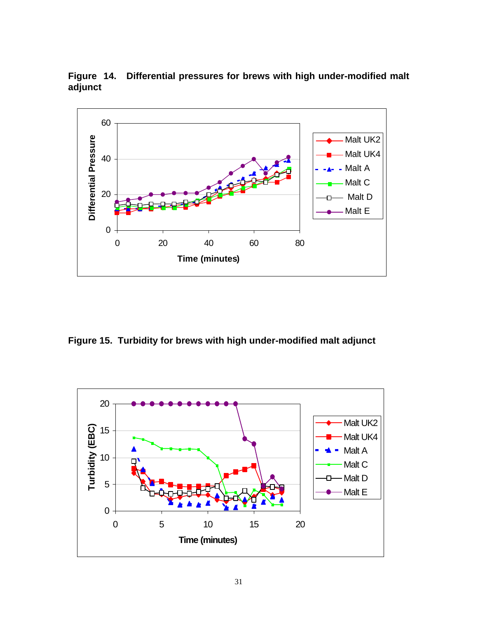

**Figure 14. Differential pressures for brews with high under-modified malt adjunct**

**Figure 15. Turbidity for brews with high under-modified malt adjunct**

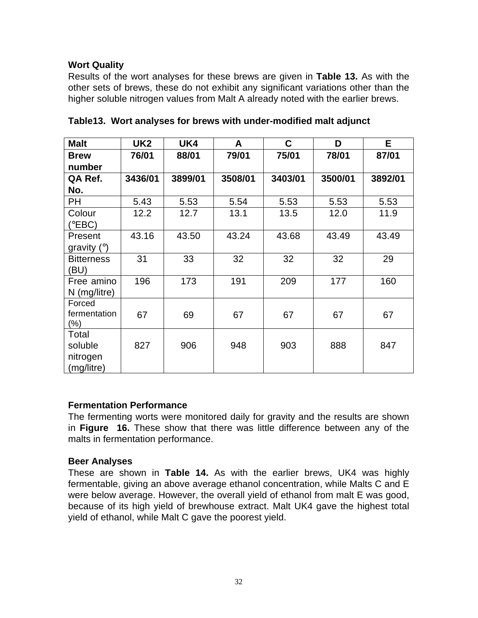#### **Wort Quality**

Results of the wort analyses for these brews are given in **Table 13.** As with the other sets of brews, these do not exhibit any significant variations other than the higher soluble nitrogen values from Malt A already noted with the earlier brews.

| <b>Malt</b>                                | UK <sub>2</sub> | UK4     | A       | C       | D       | E.      |
|--------------------------------------------|-----------------|---------|---------|---------|---------|---------|
| <b>Brew</b>                                | 76/01           | 88/01   | 79/01   | 75/01   | 78/01   | 87/01   |
| number                                     |                 |         |         |         |         |         |
| QA Ref.                                    | 3436/01         | 3899/01 | 3508/01 | 3403/01 | 3500/01 | 3892/01 |
| No.                                        |                 |         |         |         |         |         |
| PH                                         | 5.43            | 5.53    | 5.54    | 5.53    | 5.53    | 5.53    |
| Colour<br>(°EBC)                           | 12.2            | 12.7    | 13.1    | 13.5    | 12.0    | 11.9    |
| Present<br>gravity $(°)$                   | 43.16           | 43.50   | 43.24   | 43.68   | 43.49   | 43.49   |
| <b>Bitterness</b><br>(BU)                  | 31              | 33      | 32      | 32      | 32      | 29      |
| Free amino<br>N (mg/litre)                 | 196             | 173     | 191     | 209     | 177     | 160     |
| Forced<br>fermentation<br>$(\%)$           | 67              | 69      | 67      | 67      | 67      | 67      |
| Total<br>soluble<br>nitrogen<br>(mg/litre) | 827             | 906     | 948     | 903     | 888     | 847     |

| Table13. Wort analyses for brews with under-modified malt adjunct |  |  |  |  |
|-------------------------------------------------------------------|--|--|--|--|
|                                                                   |  |  |  |  |

#### **Fermentation Performance**

The fermenting worts were monitored daily for gravity and the results are shown in **Figure 16.** These show that there was little difference between any of the malts in fermentation performance.

#### **Beer Analyses**

These are shown in **Table 14.** As with the earlier brews, UK4 was highly fermentable, giving an above average ethanol concentration, while Malts C and E were below average. However, the overall yield of ethanol from malt E was good, because of its high yield of brewhouse extract. Malt UK4 gave the highest total yield of ethanol, while Malt C gave the poorest yield.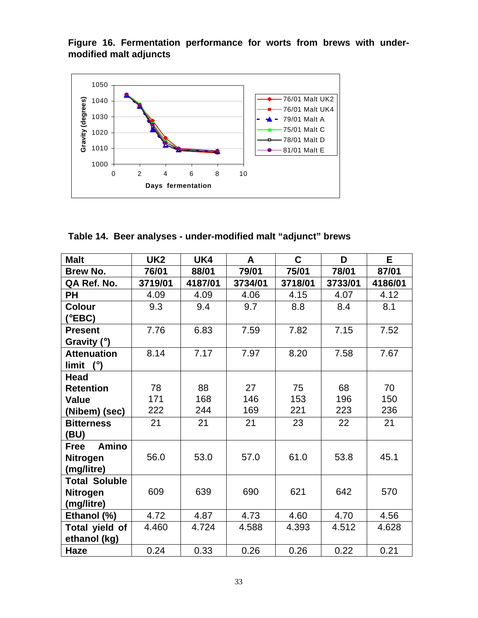**Figure 16. Fermentation performance for worts from brews with undermodified malt adjuncts**



**Table 14. Beer analyses - under-modified malt "adjunct" brews**

| <b>Malt</b>                 | UK <sub>2</sub> | UK4     | A       | C       | D       | E       |
|-----------------------------|-----------------|---------|---------|---------|---------|---------|
| <b>Brew No.</b>             | 76/01           | 88/01   | 79/01   | 75/01   | 78/01   | 87/01   |
| QA Ref. No.                 | 3719/01         | 4187/01 | 3734/01 | 3718/01 | 3733/01 | 4186/01 |
| PH                          | 4.09            | 4.09    | 4.06    | 4.15    | 4.07    | 4.12    |
| <b>Colour</b>               | 9.3             | 9.4     | 9.7     | 8.8     | 8.4     | 8.1     |
| $(^{\circ}EBC)$             |                 |         |         |         |         |         |
| <b>Present</b>              | 7.76            | 6.83    | 7.59    | 7.82    | 7.15    | 7.52    |
| Gravity $(°)$               |                 |         |         |         |         |         |
| <b>Attenuation</b>          | 8.14            | 7.17    | 7.97    | 8.20    | 7.58    | 7.67    |
| limit $(°)$                 |                 |         |         |         |         |         |
| <b>Head</b>                 |                 |         |         |         |         |         |
| <b>Retention</b>            | 78              | 88      | 27      | 75      | 68      | 70      |
| <b>Value</b>                | 171             | 168     | 146     | 153     | 196     | 150     |
| (Nibem) (sec)               | 222             | 244     | 169     | 221     | 223     | 236     |
| <b>Bitterness</b>           | 21              | 21      | 21      | 23      | 22      | 21      |
| (BU)                        |                 |         |         |         |         |         |
| <b>Amino</b><br><b>Free</b> |                 |         |         |         |         |         |
| Nitrogen                    | 56.0            | 53.0    | 57.0    | 61.0    | 53.8    | 45.1    |
| (mg/litre)                  |                 |         |         |         |         |         |
| <b>Total Soluble</b>        |                 |         |         |         |         |         |
| <b>Nitrogen</b>             | 609             | 639     | 690     | 621     | 642     | 570     |
| (mg/litre)                  |                 |         |         |         |         |         |
| Ethanol (%)                 | 4.72            | 4.87    | 4.73    | 4.60    | 4.70    | 4.56    |
| Total yield of              | 4.460           | 4.724   | 4.588   | 4.393   | 4.512   | 4.628   |
| ethanol (kg)                |                 |         |         |         |         |         |
| Haze                        | 0.24            | 0.33    | 0.26    | 0.26    | 0.22    | 0.21    |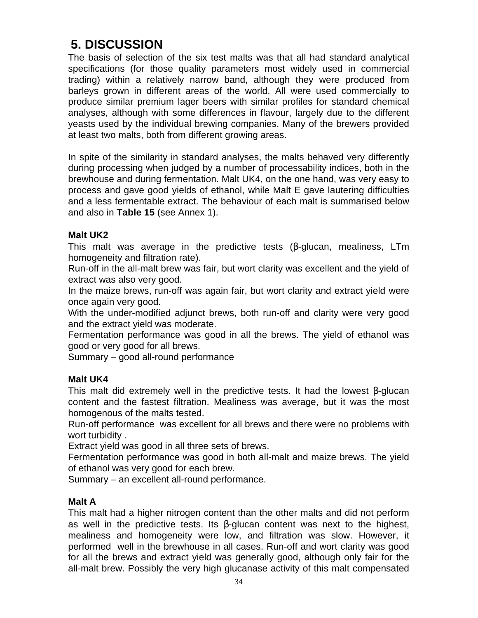# **5. DISCUSSION**

The basis of selection of the six test malts was that all had standard analytical specifications (for those quality parameters most widely used in commercial trading) within a relatively narrow band, although they were produced from barleys grown in different areas of the world. All were used commercially to produce similar premium lager beers with similar profiles for standard chemical analyses, although with some differences in flavour, largely due to the different yeasts used by the individual brewing companies. Many of the brewers provided at least two malts, both from different growing areas.

In spite of the similarity in standard analyses, the malts behaved very differently during processing when judged by a number of processability indices, both in the brewhouse and during fermentation. Malt UK4, on the one hand, was very easy to process and gave good yields of ethanol, while Malt E gave lautering difficulties and a less fermentable extract. The behaviour of each malt is summarised below and also in **Table 15** (see Annex 1).

## **Malt UK2**

This malt was average in the predictive tests (β-glucan, mealiness, LTm homogeneity and filtration rate).

Run-off in the all-malt brew was fair, but wort clarity was excellent and the yield of extract was also very good.

In the maize brews, run-off was again fair, but wort clarity and extract yield were once again very good.

With the under-modified adjunct brews, both run-off and clarity were very good and the extract yield was moderate.

Fermentation performance was good in all the brews. The yield of ethanol was good or very good for all brews.

Summary – good all-round performance

## **Malt UK4**

This malt did extremely well in the predictive tests. It had the lowest β-glucan content and the fastest filtration. Mealiness was average, but it was the most homogenous of the malts tested.

Run-off performance was excellent for all brews and there were no problems with wort turbidity .

Extract yield was good in all three sets of brews.

Fermentation performance was good in both all-malt and maize brews. The yield of ethanol was very good for each brew.

Summary – an excellent all-round performance.

#### **Malt A**

This malt had a higher nitrogen content than the other malts and did not perform as well in the predictive tests. Its β-glucan content was next to the highest, mealiness and homogeneity were low, and filtration was slow. However, it performed well in the brewhouse in all cases. Run-off and wort clarity was good for all the brews and extract yield was generally good, although only fair for the all-malt brew. Possibly the very high glucanase activity of this malt compensated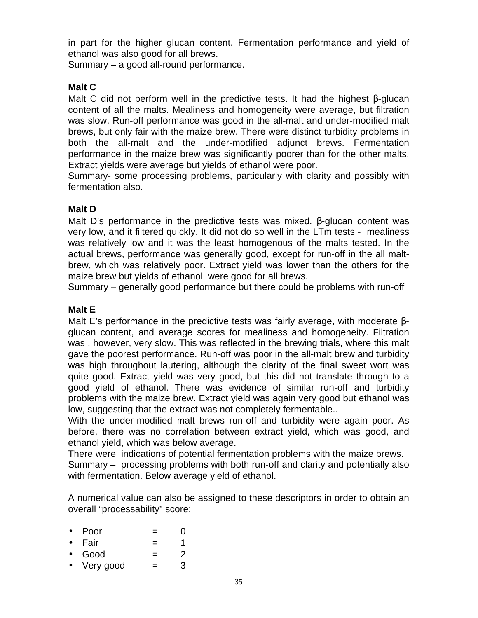in part for the higher glucan content. Fermentation performance and yield of ethanol was also good for all brews.

Summary – a good all-round performance.

## **Malt C**

Malt C did not perform well in the predictive tests. It had the highest β-glucan content of all the malts. Mealiness and homogeneity were average, but filtration was slow. Run-off performance was good in the all-malt and under-modified malt brews, but only fair with the maize brew. There were distinct turbidity problems in both the all-malt and the under-modified adjunct brews. Fermentation performance in the maize brew was significantly poorer than for the other malts. Extract yields were average but yields of ethanol were poor.

Summary- some processing problems, particularly with clarity and possibly with fermentation also.

## **Malt D**

Malt D's performance in the predictive tests was mixed. β-glucan content was very low, and it filtered quickly. It did not do so well in the LTm tests - mealiness was relatively low and it was the least homogenous of the malts tested. In the actual brews, performance was generally good, except for run-off in the all maltbrew, which was relatively poor. Extract yield was lower than the others for the maize brew but yields of ethanol were good for all brews.

Summary – generally good performance but there could be problems with run-off

### **Malt E**

Malt E's performance in the predictive tests was fairly average, with moderate βglucan content, and average scores for mealiness and homogeneity. Filtration was , however, very slow. This was reflected in the brewing trials, where this malt gave the poorest performance. Run-off was poor in the all-malt brew and turbidity was high throughout lautering, although the clarity of the final sweet wort was quite good. Extract yield was very good, but this did not translate through to a good yield of ethanol. There was evidence of similar run-off and turbidity problems with the maize brew. Extract yield was again very good but ethanol was low, suggesting that the extract was not completely fermentable..

With the under-modified malt brews run-off and turbidity were again poor. As before, there was no correlation between extract yield, which was good, and ethanol yield, which was below average.

There were indications of potential fermentation problems with the maize brews. Summary – processing problems with both run-off and clarity and potentially also with fermentation. Below average yield of ethanol.

A numerical value can also be assigned to these descriptors in order to obtain an overall "processability" score;

- Poor  $= 0$
- Fair  $=$  1
- Good  $= 2$
- Very good  $=$  3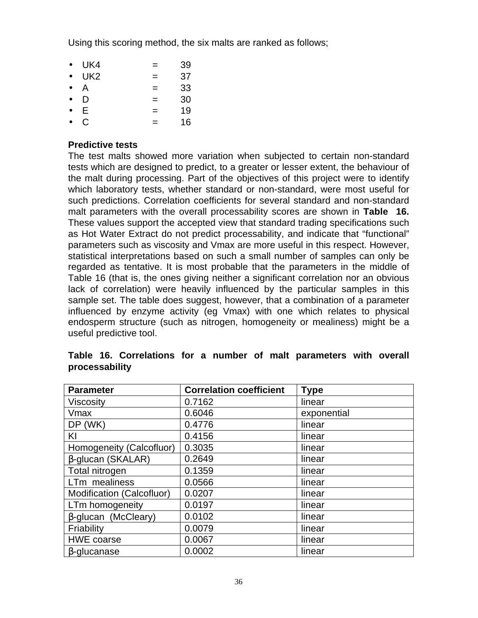Using this scoring method, the six malts are ranked as follows;

| $\bullet$ | UK4             | =   | 39 |
|-----------|-----------------|-----|----|
| $\bullet$ | UK <sub>2</sub> | =   | 37 |
| $\bullet$ | Α               | $=$ | 33 |
| $\bullet$ | D               | $=$ | 30 |
| $\bullet$ | E.              | $=$ | 19 |
|           | C               | =   | 16 |

#### **Predictive tests**

The test malts showed more variation when subjected to certain non-standard tests which are designed to predict, to a greater or lesser extent, the behaviour of the malt during processing. Part of the objectives of this project were to identify which laboratory tests, whether standard or non-standard, were most useful for such predictions. Correlation coefficients for several standard and non-standard malt parameters with the overall processability scores are shown in **Table 16.** These values support the accepted view that standard trading specifications such as Hot Water Extract do not predict processability, and indicate that "functional" parameters such as viscosity and Vmax are more useful in this respect. However, statistical interpretations based on such a small number of samples can only be regarded as tentative. It is most probable that the parameters in the middle of Table 16 (that is, the ones giving neither a significant correlation nor an obvious lack of correlation) were heavily influenced by the particular samples in this sample set. The table does suggest, however, that a combination of a parameter influenced by enzyme activity (eg Vmax) with one which relates to physical endosperm structure (such as nitrogen, homogeneity or mealiness) might be a useful predictive tool.

| <b>Parameter</b>           | <b>Correlation coefficient</b> | <b>Type</b> |
|----------------------------|--------------------------------|-------------|
| <b>Viscosity</b>           | 0.7162                         | linear      |
| Vmax                       | 0.6046                         | exponential |
| DP (WK)                    | 0.4776                         | linear      |
| KI                         | 0.4156                         | linear      |
| Homogeneity (Calcofluor)   | 0.3035                         | linear      |
| β-glucan (SKALAR)          | 0.2649                         | linear      |
| Total nitrogen             | 0.1359                         | linear      |
| LTm mealiness              | 0.0566                         | linear      |
| Modification (Calcofluor)  | 0.0207                         | linear      |
| LTm homogeneity            | 0.0197                         | linear      |
| $\beta$ -glucan (McCleary) | 0.0102                         | linear      |
| Friability                 | 0.0079                         | linear      |
| <b>HWE coarse</b>          | 0.0067                         | linear      |
| $\beta$ -glucanase         | 0.0002                         | linear      |

|                | Table 16. Correlations for a number of malt parameters with overall |  |  |  |  |
|----------------|---------------------------------------------------------------------|--|--|--|--|
| processability |                                                                     |  |  |  |  |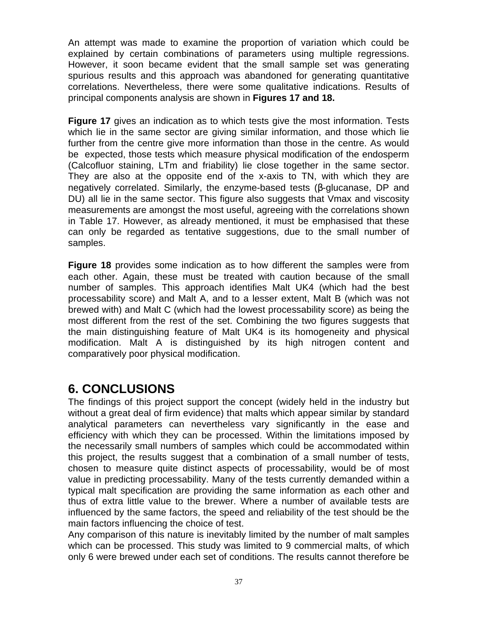An attempt was made to examine the proportion of variation which could be explained by certain combinations of parameters using multiple regressions. However, it soon became evident that the small sample set was generating spurious results and this approach was abandoned for generating quantitative correlations. Nevertheless, there were some qualitative indications. Results of principal components analysis are shown in **Figures 17 and 18.**

**Figure 17** gives an indication as to which tests give the most information. Tests which lie in the same sector are giving similar information, and those which lie further from the centre give more information than those in the centre. As would be expected, those tests which measure physical modification of the endosperm (Calcofluor staining, LTm and friability) lie close together in the same sector. They are also at the opposite end of the x-axis to TN, with which they are negatively correlated. Similarly, the enzyme-based tests (β-glucanase, DP and DU) all lie in the same sector. This figure also suggests that Vmax and viscosity measurements are amongst the most useful, agreeing with the correlations shown in Table 17. However, as already mentioned, it must be emphasised that these can only be regarded as tentative suggestions, due to the small number of samples.

**Figure 18** provides some indication as to how different the samples were from each other. Again, these must be treated with caution because of the small number of samples. This approach identifies Malt UK4 (which had the best processability score) and Malt A, and to a lesser extent, Malt B (which was not brewed with) and Malt C (which had the lowest processability score) as being the most different from the rest of the set. Combining the two figures suggests that the main distinguishing feature of Malt UK4 is its homogeneity and physical modification. Malt A is distinguished by its high nitrogen content and comparatively poor physical modification.

# **6. CONCLUSIONS**

The findings of this project support the concept (widely held in the industry but without a great deal of firm evidence) that malts which appear similar by standard analytical parameters can nevertheless vary significantly in the ease and efficiency with which they can be processed. Within the limitations imposed by the necessarily small numbers of samples which could be accommodated within this project, the results suggest that a combination of a small number of tests, chosen to measure quite distinct aspects of processability, would be of most value in predicting processability. Many of the tests currently demanded within a typical malt specification are providing the same information as each other and thus of extra little value to the brewer. Where a number of available tests are influenced by the same factors, the speed and reliability of the test should be the main factors influencing the choice of test.

Any comparison of this nature is inevitably limited by the number of malt samples which can be processed. This study was limited to 9 commercial malts, of which only 6 were brewed under each set of conditions. The results cannot therefore be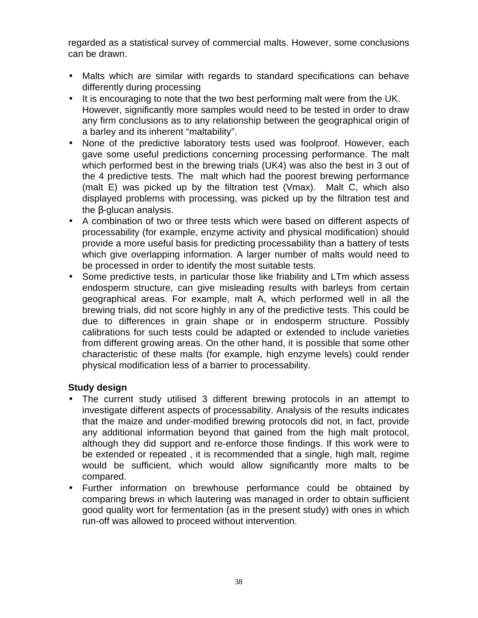regarded as a statistical survey of commercial malts. However, some conclusions can be drawn.

- Malts which are similar with regards to standard specifications can behave differently during processing
- It is encouraging to note that the two best performing malt were from the UK. However, significantly more samples would need to be tested in order to draw any firm conclusions as to any relationship between the geographical origin of a barley and its inherent "maltability".
- None of the predictive laboratory tests used was foolproof. However, each gave some useful predictions concerning processing performance. The malt which performed best in the brewing trials (UK4) was also the best in 3 out of the 4 predictive tests. The malt which had the poorest brewing performance (malt E) was picked up by the filtration test (Vmax). Malt C, which also displayed problems with processing, was picked up by the filtration test and the β-glucan analysis.
- A combination of two or three tests which were based on different aspects of processability (for example, enzyme activity and physical modification) should provide a more useful basis for predicting processability than a battery of tests which give overlapping information. A larger number of malts would need to be processed in order to identify the most suitable tests.
- Some predictive tests, in particular those like friability and LTm which assess endosperm structure, can give misleading results with barleys from certain geographical areas. For example, malt A, which performed well in all the brewing trials, did not score highly in any of the predictive tests. This could be due to differences in grain shape or in endosperm structure. Possibly calibrations for such tests could be adapted or extended to include varieties from different growing areas. On the other hand, it is possible that some other characteristic of these malts (for example, high enzyme levels) could render physical modification less of a barrier to processability.

#### **Study design**

- The current study utilised 3 different brewing protocols in an attempt to investigate different aspects of processability. Analysis of the results indicates that the maize and under-modified brewing protocols did not, in fact, provide any additional information beyond that gained from the high malt protocol, although they did support and re-enforce those findings. If this work were to be extended or repeated , it is recommended that a single, high malt, regime would be sufficient, which would allow significantly more malts to be compared.
- Further information on brewhouse performance could be obtained by comparing brews in which lautering was managed in order to obtain sufficient good quality wort for fermentation (as in the present study) with ones in which run-off was allowed to proceed without intervention.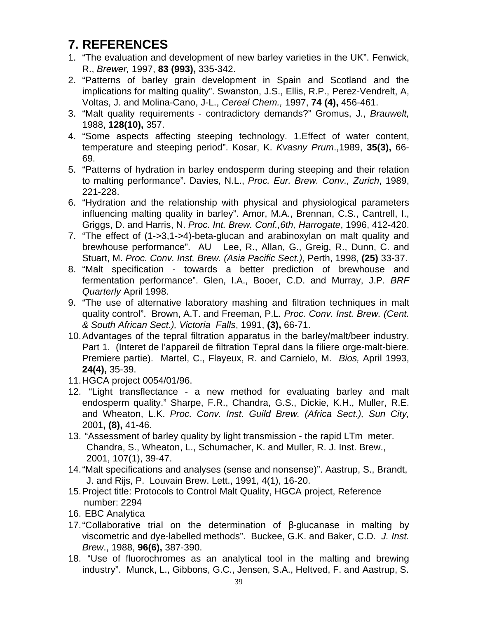# **7. REFERENCES**

- 1. "The evaluation and development of new barley varieties in the UK". Fenwick, R., *Brewer,* 1997, **83 (993),** 335-342.
- 2. "Patterns of barley grain development in Spain and Scotland and the implications for malting quality". Swanston, J.S., Ellis, R.P., Perez-Vendrelt, A, Voltas, J. and Molina-Cano, J-L., *Cereal Chem.,* 1997, **74 (4),** 456-461.
- 3. "Malt quality requirements contradictory demands?" Gromus, J., *Brauwelt,* 1988, **128(10),** 357.
- 4. "Some aspects affecting steeping technology. 1.Effect of water content, temperature and steeping period". Kosar, K. *Kvasny Prum*.,1989, **35(3),** 66- 69.
- 5. "Patterns of hydration in barley endosperm during steeping and their relation to malting performance". Davies, N.L., *Proc. Eur. Brew. Conv., Zurich*, 1989, 221-228.
- 6. "Hydration and the relationship with physical and physiological parameters influencing malting quality in barley". Amor, M.A., Brennan, C.S., Cantrell, I., Griggs, D. and Harris, N. *Proc. Int. Brew. Conf.,6th, Harrogate*, 1996, 412-420.
- 7. "The effect of (1->3,1->4)-beta-glucan and arabinoxylan on malt quality and brewhouse performance". AU Lee, R., Allan, G., Greig, R., Dunn, C. and Stuart, M. *Proc. Conv. Inst. Brew. (Asia Pacific Sect.)*, Perth, 1998, **(25)** 33-37.
- 8. "Malt specification towards a better prediction of brewhouse and fermentation performance". Glen, I.A., Booer, C.D. and Murray, J.P*. BRF Quarterly* April 1998.
- 9. "The use of alternative laboratory mashing and filtration techniques in malt quality control". Brown, A.T. and Freeman, P.L*. Proc. Conv. Inst. Brew. (Cent. & South African Sect.), Victoria Falls*, 1991, **(3),** 66-71.
- 10.Advantages of the tepral filtration apparatus in the barley/malt/beer industry. Part 1. (Interet de l'appareil de filtration Tepral dans la filiere orge-malt-biere. Premiere partie). Martel, C., Flayeux, R. and Carnielo, M. *Bios,* April 1993, **24(4),** 35-39.
- 11.HGCA project 0054/01/96.
- 12. "Light transflectance a new method for evaluating barley and malt endosperm quality." Sharpe, F.R., Chandra, G.S., Dickie, K.H., Muller, R.E. and Wheaton, L.K. *Proc. Conv. Inst. Guild Brew. (Africa Sect.), Sun City,* 2001**, (8),** 41-46.
- 13. "Assessment of barley quality by light transmission the rapid LTm meter. Chandra, S., Wheaton, L., Schumacher, K. and Muller, R. J. Inst. Brew., 2001, 107(1), 39-47.
- 14."Malt specifications and analyses (sense and nonsense)". Aastrup, S., Brandt, J. and Rijs, P. Louvain Brew. Lett., 1991, 4(1), 16-20.
- 15.Project title: Protocols to Control Malt Quality, HGCA project, Reference number: 2294
- 16. EBC Analytica
- 17."Collaborative trial on the determination of β-glucanase in malting by viscometric and dye-labelled methods". Buckee, G.K. and Baker, C.D. *J. Inst. Brew*., 1988, **96(6),** 387-390.
- 18. "Use of fluorochromes as an analytical tool in the malting and brewing industry". Munck, L., Gibbons, G.C., Jensen, S.A., Heltved, F. and Aastrup, S.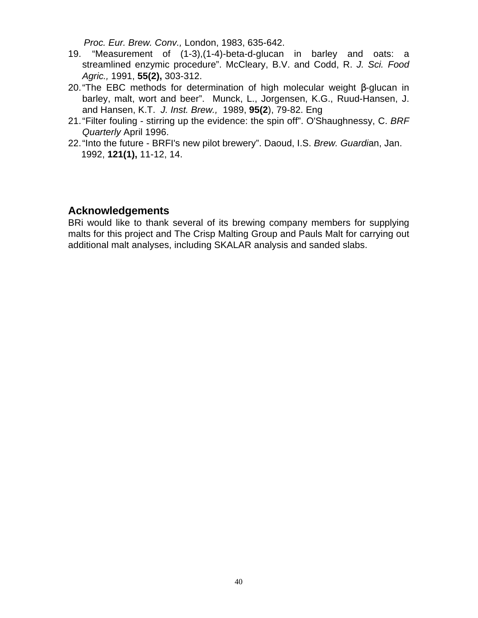*Proc. Eur. Brew. Conv.,* London, 1983, 635-642.

- 19. "Measurement of (1-3),(1-4)-beta-d-glucan in barley and oats: a streamlined enzymic procedure". McCleary, B.V. and Codd, R. *J. Sci. Food Agric.,* 1991, **55(2),** 303-312.
- 20."The EBC methods for determination of high molecular weight β-glucan in barley, malt, wort and beer". Munck, L., Jorgensen, K.G., Ruud-Hansen, J. and Hansen, K.T. *J. Inst. Brew.,* 1989, **95(2**), 79-82. Eng
- 21."Filter fouling stirring up the evidence: the spin off". O'Shaughnessy, C. *BRF Quarterly* April 1996.
- 22."Into the future BRFI's new pilot brewery". Daoud, I.S. *Brew. Guardi*an, Jan. 1992, **121(1),** 11-12, 14.

# **Acknowledgements**

BRi would like to thank several of its brewing company members for supplying malts for this project and The Crisp Malting Group and Pauls Malt for carrying out additional malt analyses, including SKALAR analysis and sanded slabs.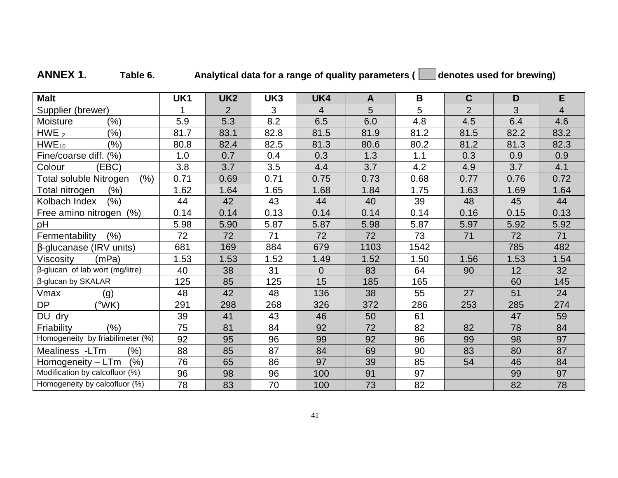| <b>Malt</b>                            | UK1  | UK <sub>2</sub> | UK3  | UK4            | $\mathbf{A}$ | B    | $\mathbf C$    | D    | E              |
|----------------------------------------|------|-----------------|------|----------------|--------------|------|----------------|------|----------------|
| Supplier (brewer)                      |      | $\overline{2}$  | 3    | $\overline{4}$ | 5            | 5    | $\overline{2}$ | 3    | $\overline{4}$ |
| Moisture<br>(%)                        | 5.9  | 5.3             | 8.2  | 6.5            | 6.0          | 4.8  | 4.5            | 6.4  | 4.6            |
| HWE $_2$<br>(%)                        | 81.7 | 83.1            | 82.8 | 81.5           | 81.9         | 81.2 | 81.5           | 82.2 | 83.2           |
| $HWE_{10}$<br>$(\% )$                  | 80.8 | 82.4            | 82.5 | 81.3           | 80.6         | 80.2 | 81.2           | 81.3 | 82.3           |
| Fine/coarse diff. (%)                  | 1.0  | 0.7             | 0.4  | 0.3            | 1.3          | 1.1  | 0.3            | 0.9  | 0.9            |
| (EBC)<br>Colour                        | 3.8  | 3.7             | 3.5  | 4.4            | 3.7          | 4.2  | 4.9            | 3.7  | 4.1            |
| <b>Total soluble Nitrogen</b><br>(% )  | 0.71 | 0.69            | 0.71 | 0.75           | 0.73         | 0.68 | 0.77           | 0.76 | 0.72           |
| Total nitrogen<br>$(\% )$              | 1.62 | 1.64            | 1.65 | 1.68           | 1.84         | 1.75 | 1.63           | 1.69 | 1.64           |
| Kolbach Index<br>(%)                   | 44   | 42              | 43   | 44             | 40           | 39   | 48             | 45   | 44             |
| (% )<br>Free amino nitrogen            | 0.14 | 0.14            | 0.13 | 0.14           | 0.14         | 0.14 | 0.16           | 0.15 | 0.13           |
| pH                                     | 5.98 | 5.90            | 5.87 | 5.87           | 5.98         | 5.87 | 5.97           | 5.92 | 5.92           |
| (% )<br>Fermentability                 | 72   | 72              | 71   | 72             | 72           | 73   | 71             | 72   | 71             |
| $\beta$ -glucanase (IRV units)         | 681  | 169             | 884  | 679            | 1103         | 1542 |                | 785  | 482            |
| (mPa)<br>Viscosity                     | 1.53 | 1.53            | 1.52 | 1.49           | 1.52         | 1.50 | 1.56           | 1.53 | 1.54           |
| $\beta$ -glucan of lab wort (mg/litre) | 40   | 38              | 31   | $\Omega$       | 83           | 64   | 90             | 12   | 32             |
| β-glucan by SKALAR                     | 125  | 85              | 125  | 15             | 185          | 165  |                | 60   | 145            |
| Vmax<br>(g)                            | 48   | 42              | 48   | 136            | 38           | 55   | 27             | 51   | 24             |
| <b>DP</b><br>$(^{\circ}WK)$            | 291  | 298             | 268  | 326            | 372          | 286  | 253            | 285  | 274            |
| DU dry                                 | 39   | 41              | 43   | 46             | 50           | 61   |                | 47   | 59             |
| Friability<br>(%)                      | 75   | 81              | 84   | 92             | 72           | 82   | 82             | 78   | 84             |
| Homogeneity by friabilimeter (%)       | 92   | 95              | 96   | 99             | 92           | 96   | 99             | 98   | 97             |
| Mealiness -LTm<br>(%)                  | 88   | 85              | 87   | 84             | 69           | 90   | 83             | 80   | 87             |
| (% )<br>Homogeneity - LTm              | 76   | 65              | 86   | 97             | 39           | 85   | 54             | 46   | 84             |
| Modification by calcofluor (%)         | 96   | 98              | 96   | 100            | 91           | 97   |                | 99   | 97             |
| Homogeneity by calcofluor (%)          | 78   | 83              | 70   | 100            | 73           | 82   |                | 82   | 78             |

# ANNEX 1. Table 6. Analytical data for a range of quality parameters (all denotes used for brewing)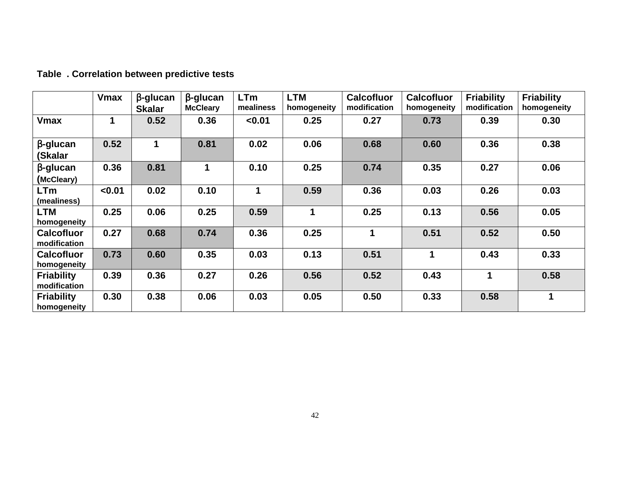# **Table . Correlation between predictive tests**

|                                   | <b>Vmax</b> | $\beta$ -glucan<br><b>Skalar</b> | $\beta$ -glucan<br><b>McCleary</b> | <b>LTm</b><br>mealiness | <b>LTM</b><br>homogeneity | <b>Calcofluor</b><br>modification | <b>Calcofluor</b><br>homogeneity | <b>Friability</b><br>modification | <b>Friability</b><br>homogeneity |
|-----------------------------------|-------------|----------------------------------|------------------------------------|-------------------------|---------------------------|-----------------------------------|----------------------------------|-----------------------------------|----------------------------------|
| <b>Vmax</b>                       | 1           | 0.52                             | 0.36                               | < 0.01                  | 0.25                      | 0.27                              | 0.73                             | 0.39                              | 0.30                             |
| $\beta$ -glucan<br>(Skalar        | 0.52        | 1                                | 0.81                               | 0.02                    | 0.06                      | 0.68                              | 0.60                             | 0.36                              | 0.38                             |
| $\beta$ -glucan<br>(McCleary)     | 0.36        | 0.81                             | 1                                  | 0.10                    | 0.25                      | 0.74                              | 0.35                             | 0.27                              | 0.06                             |
| <b>LTm</b><br>(mealiness)         | < 0.01      | 0.02                             | 0.10                               | 1                       | 0.59                      | 0.36                              | 0.03                             | 0.26                              | 0.03                             |
| LTM<br>homogeneity                | 0.25        | 0.06                             | 0.25                               | 0.59                    | 1                         | 0.25                              | 0.13                             | 0.56                              | 0.05                             |
| <b>Calcofluor</b><br>modification | 0.27        | 0.68                             | 0.74                               | 0.36                    | 0.25                      | $\mathbf 1$                       | 0.51                             | 0.52                              | 0.50                             |
| <b>Calcofluor</b><br>homogeneity  | 0.73        | 0.60                             | 0.35                               | 0.03                    | 0.13                      | 0.51                              | 1                                | 0.43                              | 0.33                             |
| <b>Friability</b><br>modification | 0.39        | 0.36                             | 0.27                               | 0.26                    | 0.56                      | 0.52                              | 0.43                             | 1                                 | 0.58                             |
| <b>Friability</b><br>homogeneity  | 0.30        | 0.38                             | 0.06                               | 0.03                    | 0.05                      | 0.50                              | 0.33                             | 0.58                              | 1                                |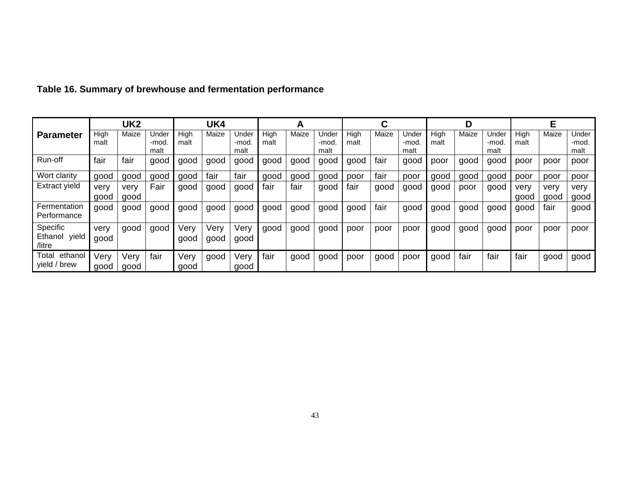|                                        | UK <sub>2</sub> |              |                        | UK4          |              |                       |              | A     |                        |              |       |                        |              | D     |                        |              |              |                        |
|----------------------------------------|-----------------|--------------|------------------------|--------------|--------------|-----------------------|--------------|-------|------------------------|--------------|-------|------------------------|--------------|-------|------------------------|--------------|--------------|------------------------|
| <b>Parameter</b>                       | High<br>malt    | Maize        | Jnder<br>-mod.<br>malt | High<br>malt | Maize        | Under<br>-mod<br>malt | High<br>malt | Maize | Jnder<br>-mod.<br>malt | High<br>malt | Maize | Under<br>-mod.<br>malt | High<br>malt | Maize | Jnder<br>-mod.<br>malt | High<br>malt | Maize        | Under<br>-mod.<br>malt |
| Run-off                                | fair            | fair         | good                   | good         | good         | good                  | good         | good  | good                   | good         | fair  | good                   | poor         | good  | good                   | poor         | poor         | poor                   |
| Wort clarity                           | good            | good         | good                   | good         | fair         | fair                  | good         | aood  | good                   | poor         | fair  | poor                   | good         | good  | good                   | poor         | poor         | poor                   |
| Extract yield                          | very<br>good    | verv<br>good | Fair                   | good         | aood         | good                  | fair         | fair  | good                   | fair         | good  | good                   | good         | poor  | good                   | verv<br>good | verv<br>good | very<br>good           |
| Fermentation<br>Performance            | good            | good         | good                   | good         | good         | good                  | good         | qood  | good                   | good         | fair  | good                   | good         | good  | good                   | good         | fair         | good                   |
| Specific<br>yield<br>Ethanol<br>/litre | very<br>good    | good         | good                   | Very<br>good | Very<br>good | Very<br>good          | good         | good  | good                   | poor         | poor  | poor                   | good         | good  | good                   | poor         | poor         | poor                   |
| ethanol<br>Total<br>yield / brew       | Very<br>good    | Very<br>good | fair                   | Very<br>good | good         | Very<br>good          | fair         | good  | good                   | poor         | good  | poor                   | good         | fair  | fair                   | fair         | good         | good                   |

# **Table 16. Summary of brewhouse and fermentation performance**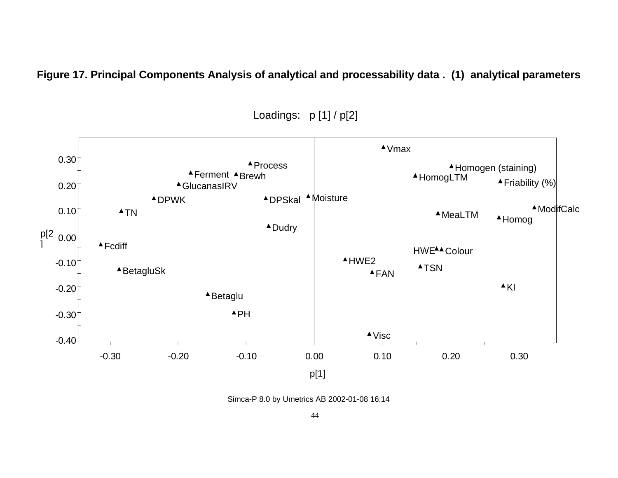**Figure 17. Principal Components Analysis of analytical and processability data . (1) analytical parameters**



Loadings: p [1] / p[2]

Simca-P 8.0 by Umetrics AB 2002-01-08 16:14